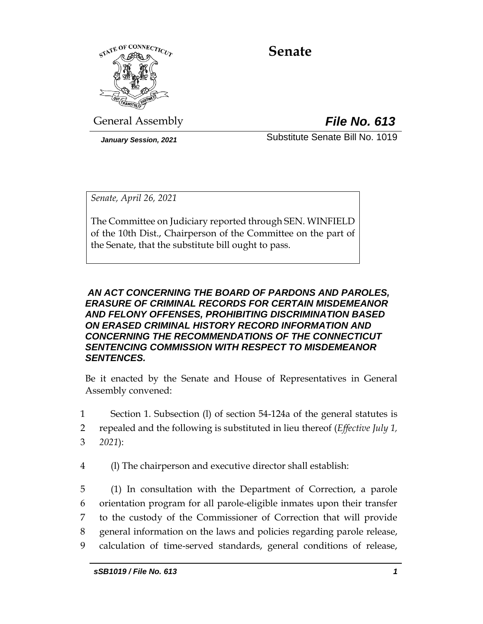

# **Senate**

General Assembly *File No. 613*

<span id="page-0-0"></span>*January Session, 2021* Substitute Senate Bill No. 1019

*Senate, April 26, 2021*

The Committee on Judiciary reported through SEN. WINFIELD of the 10th Dist., Chairperson of the Committee on the part of the Senate, that the substitute bill ought to pass.

# *AN ACT CONCERNING THE BOARD OF PARDONS AND PAROLES, ERASURE OF CRIMINAL RECORDS FOR CERTAIN MISDEMEANOR AND FELONY OFFENSES, PROHIBITING DISCRIMINATION BASED ON ERASED CRIMINAL HISTORY RECORD INFORMATION AND CONCERNING THE RECOMMENDATIONS OF THE CONNECTICUT SENTENCING COMMISSION WITH RESPECT TO MISDEMEANOR SENTENCES.*

Be it enacted by the Senate and House of Representatives in General Assembly convened:

1 Section 1. Subsection (l) of section 54-124a of the general statutes is

2 repealed and the following is substituted in lieu thereof (*Effective July 1,*  3 *2021*):

4 (l) The chairperson and executive director shall establish:

 (1) In consultation with the Department of Correction, a parole orientation program for all parole-eligible inmates upon their transfer to the custody of the Commissioner of Correction that will provide general information on the laws and policies regarding parole release, calculation of time-served standards, general conditions of release,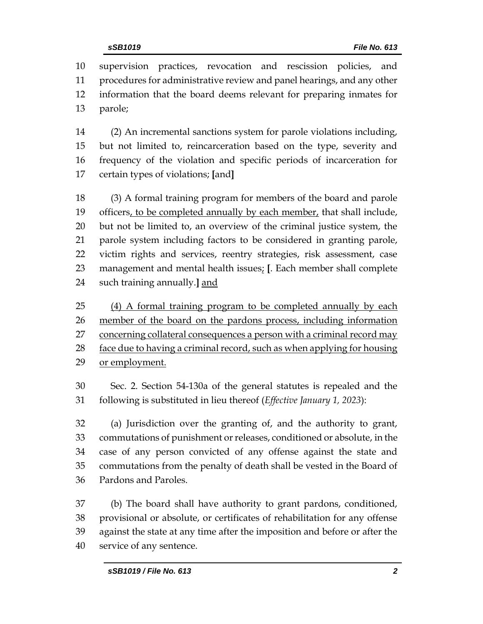supervision practices, revocation and rescission policies, and procedures for administrative review and panel hearings, and any other information that the board deems relevant for preparing inmates for parole;

 (2) An incremental sanctions system for parole violations including, but not limited to, reincarceration based on the type, severity and frequency of the violation and specific periods of incarceration for certain types of violations; **[**and**]**

 (3) A formal training program for members of the board and parole officers, to be completed annually by each member, that shall include, but not be limited to, an overview of the criminal justice system, the parole system including factors to be considered in granting parole, victim rights and services, reentry strategies, risk assessment, case management and mental health issues; **[**. Each member shall complete such training annually.**]** and

 (4) A formal training program to be completed annually by each member of the board on the pardons process, including information 27 concerning collateral consequences a person with a criminal record may face due to having a criminal record, such as when applying for housing or employment.

 Sec. 2. Section 54-130a of the general statutes is repealed and the following is substituted in lieu thereof (*Effective January 1, 2023*):

 (a) Jurisdiction over the granting of, and the authority to grant, commutations of punishment or releases, conditioned or absolute, in the case of any person convicted of any offense against the state and commutations from the penalty of death shall be vested in the Board of Pardons and Paroles.

 (b) The board shall have authority to grant pardons, conditioned, provisional or absolute, or certificates of rehabilitation for any offense against the state at any time after the imposition and before or after the service of any sentence.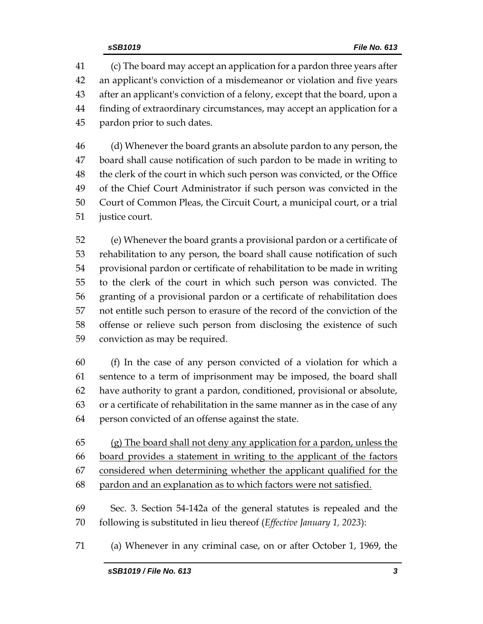(c) The board may accept an application for a pardon three years after an applicant's conviction of a misdemeanor or violation and five years after an applicant's conviction of a felony, except that the board, upon a finding of extraordinary circumstances, may accept an application for a pardon prior to such dates.

 (d) Whenever the board grants an absolute pardon to any person, the board shall cause notification of such pardon to be made in writing to the clerk of the court in which such person was convicted, or the Office of the Chief Court Administrator if such person was convicted in the Court of Common Pleas, the Circuit Court, a municipal court, or a trial justice court.

 (e) Whenever the board grants a provisional pardon or a certificate of rehabilitation to any person, the board shall cause notification of such provisional pardon or certificate of rehabilitation to be made in writing to the clerk of the court in which such person was convicted. The granting of a provisional pardon or a certificate of rehabilitation does not entitle such person to erasure of the record of the conviction of the offense or relieve such person from disclosing the existence of such conviction as may be required.

 (f) In the case of any person convicted of a violation for which a sentence to a term of imprisonment may be imposed, the board shall have authority to grant a pardon, conditioned, provisional or absolute, or a certificate of rehabilitation in the same manner as in the case of any person convicted of an offense against the state.

 (g) The board shall not deny any application for a pardon, unless the board provides a statement in writing to the applicant of the factors considered when determining whether the applicant qualified for the pardon and an explanation as to which factors were not satisfied.

 Sec. 3. Section 54-142a of the general statutes is repealed and the following is substituted in lieu thereof (*Effective January 1, 2023*):

(a) Whenever in any criminal case, on or after October 1, 1969, the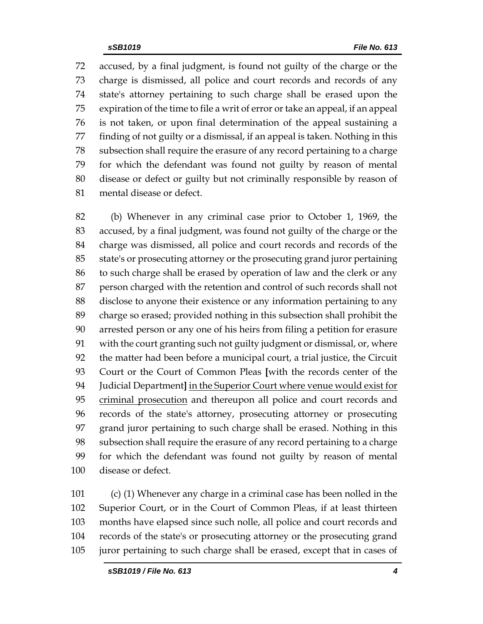accused, by a final judgment, is found not guilty of the charge or the charge is dismissed, all police and court records and records of any state's attorney pertaining to such charge shall be erased upon the expiration of the time to file a writ of error or take an appeal, if an appeal is not taken, or upon final determination of the appeal sustaining a finding of not guilty or a dismissal, if an appeal is taken. Nothing in this subsection shall require the erasure of any record pertaining to a charge for which the defendant was found not guilty by reason of mental disease or defect or guilty but not criminally responsible by reason of mental disease or defect.

 (b) Whenever in any criminal case prior to October 1, 1969, the accused, by a final judgment, was found not guilty of the charge or the charge was dismissed, all police and court records and records of the state's or prosecuting attorney or the prosecuting grand juror pertaining to such charge shall be erased by operation of law and the clerk or any person charged with the retention and control of such records shall not disclose to anyone their existence or any information pertaining to any charge so erased; provided nothing in this subsection shall prohibit the arrested person or any one of his heirs from filing a petition for erasure with the court granting such not guilty judgment or dismissal, or, where the matter had been before a municipal court, a trial justice, the Circuit Court or the Court of Common Pleas **[**with the records center of the Judicial Department**]** in the Superior Court where venue would exist for 95 criminal prosecution and thereupon all police and court records and records of the state's attorney, prosecuting attorney or prosecuting grand juror pertaining to such charge shall be erased. Nothing in this subsection shall require the erasure of any record pertaining to a charge for which the defendant was found not guilty by reason of mental disease or defect.

 (c) (1) Whenever any charge in a criminal case has been nolled in the Superior Court, or in the Court of Common Pleas, if at least thirteen months have elapsed since such nolle, all police and court records and records of the state's or prosecuting attorney or the prosecuting grand juror pertaining to such charge shall be erased, except that in cases of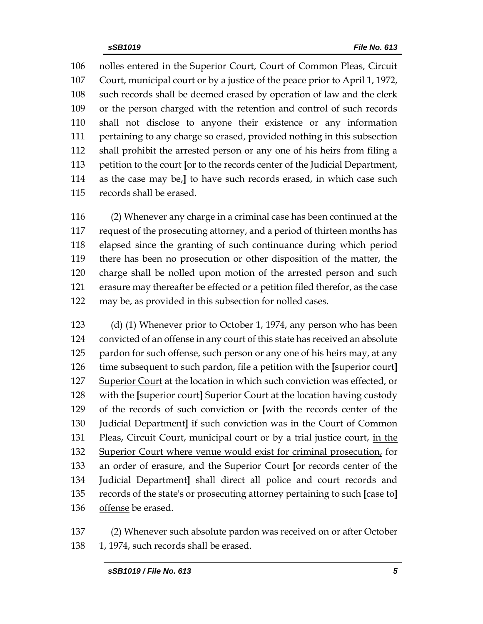nolles entered in the Superior Court, Court of Common Pleas, Circuit Court, municipal court or by a justice of the peace prior to April 1, 1972, such records shall be deemed erased by operation of law and the clerk or the person charged with the retention and control of such records shall not disclose to anyone their existence or any information pertaining to any charge so erased, provided nothing in this subsection shall prohibit the arrested person or any one of his heirs from filing a petition to the court **[**or to the records center of the Judicial Department, as the case may be,**]** to have such records erased, in which case such records shall be erased.

 (2) Whenever any charge in a criminal case has been continued at the request of the prosecuting attorney, and a period of thirteen months has elapsed since the granting of such continuance during which period there has been no prosecution or other disposition of the matter, the charge shall be nolled upon motion of the arrested person and such erasure may thereafter be effected or a petition filed therefor, as the case may be, as provided in this subsection for nolled cases.

 (d) (1) Whenever prior to October 1, 1974, any person who has been convicted of an offense in any court of this state has received an absolute 125 pardon for such offense, such person or any one of his heirs may, at any time subsequent to such pardon, file a petition with the **[**superior court**]** Superior Court at the location in which such conviction was effected, or with the **[**superior court**]** Superior Court at the location having custody of the records of such conviction or **[**with the records center of the Judicial Department**]** if such conviction was in the Court of Common Pleas, Circuit Court, municipal court or by a trial justice court, in the Superior Court where venue would exist for criminal prosecution, for an order of erasure, and the Superior Court **[**or records center of the Judicial Department**]** shall direct all police and court records and records of the state's or prosecuting attorney pertaining to such **[**case to**]** offense be erased.

 (2) Whenever such absolute pardon was received on or after October 138 1, 1974, such records shall be erased.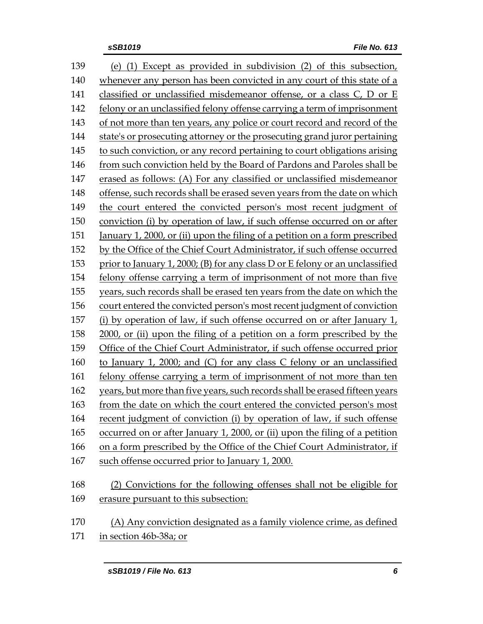| 139 | (e) (1) Except as provided in subdivision (2) of this subsection,            |
|-----|------------------------------------------------------------------------------|
| 140 | whenever any person has been convicted in any court of this state of a       |
| 141 | classified or unclassified misdemeanor offense, or a class C, D or E         |
| 142 | felony or an unclassified felony offense carrying a term of imprisonment     |
| 143 | of not more than ten years, any police or court record and record of the     |
| 144 | state's or prosecuting attorney or the prosecuting grand juror pertaining    |
| 145 | to such conviction, or any record pertaining to court obligations arising    |
| 146 | from such conviction held by the Board of Pardons and Paroles shall be       |
| 147 | erased as follows: (A) For any classified or unclassified misdemeanor        |
| 148 | offense, such records shall be erased seven years from the date on which     |
| 149 | the court entered the convicted person's most recent judgment of             |
| 150 | conviction (i) by operation of law, if such offense occurred on or after     |
| 151 | January 1, 2000, or (ii) upon the filing of a petition on a form prescribed  |
| 152 | by the Office of the Chief Court Administrator, if such offense occurred     |
| 153 | prior to January 1, 2000; (B) for any class D or E felony or an unclassified |
| 154 | felony offense carrying a term of imprisonment of not more than five         |
| 155 | years, such records shall be erased ten years from the date on which the     |
| 156 | court entered the convicted person's most recent judgment of conviction      |
| 157 | (i) by operation of law, if such offense occurred on or after January 1,     |
| 158 | 2000, or (ii) upon the filing of a petition on a form prescribed by the      |
| 159 | Office of the Chief Court Administrator, if such offense occurred prior      |
| 160 | to January 1, 2000; and (C) for any class C felony or an unclassified        |
| 161 | felony offense carrying a term of imprisonment of not more than ten          |
| 162 | years, but more than five years, such records shall be erased fifteen years  |
| 163 | from the date on which the court entered the convicted person's most         |
| 164 | recent judgment of conviction (i) by operation of law, if such offense       |
| 165 | occurred on or after January 1, 2000, or (ii) upon the filing of a petition  |
| 166 | on a form prescribed by the Office of the Chief Court Administrator, if      |
| 167 | such offense occurred prior to January 1, 2000.                              |
| 168 | (2) Convictions for the following offenses shall not be eligible for         |
| 169 | erasure pursuant to this subsection:                                         |
| 170 | (A) Any conviction designated as a family violence crime, as defined         |

in section 46b-38a; or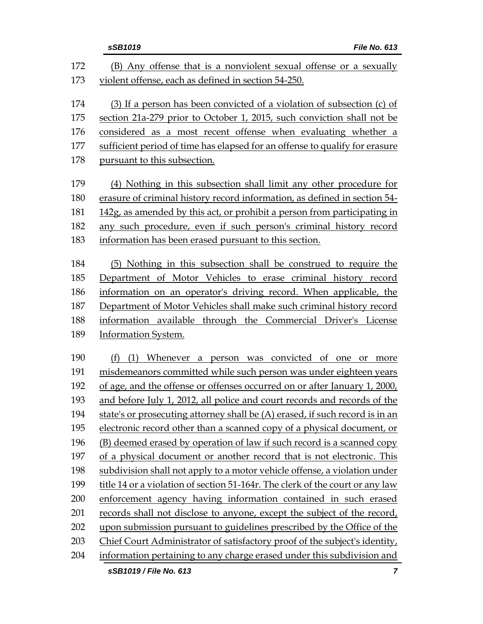|     | File No. 613<br>sSB1019                                                       |
|-----|-------------------------------------------------------------------------------|
| 172 | (B) Any offense that is a nonviolent sexual offense or a sexually             |
| 173 | violent offense, each as defined in section 54-250.                           |
| 174 | (3) If a person has been convicted of a violation of subsection (c) of        |
| 175 | section 21a-279 prior to October 1, 2015, such conviction shall not be        |
| 176 | considered as a most recent offense when evaluating whether a                 |
| 177 | sufficient period of time has elapsed for an offense to qualify for erasure   |
| 178 | pursuant to this subsection.                                                  |
| 179 | (4) Nothing in this subsection shall limit any other procedure for            |
| 180 | erasure of criminal history record information, as defined in section 54-     |
| 181 | 142g, as amended by this act, or prohibit a person from participating in      |
| 182 | any such procedure, even if such person's criminal history record             |
| 183 | information has been erased pursuant to this section.                         |
| 184 | (5) Nothing in this subsection shall be construed to require the              |
| 185 | Department of Motor Vehicles to erase criminal history record                 |
| 186 | information on an operator's driving record. When applicable, the             |
| 187 | Department of Motor Vehicles shall make such criminal history record          |
| 188 | information available through the Commercial Driver's License                 |
| 189 | Information System.                                                           |
| 190 | (f) (1) Whenever a person was convicted of one or<br>more                     |
| 191 | misdemeanors committed while such person was under eighteen years             |
| 192 | of age, and the offense or offenses occurred on or after January 1, 2000,     |
| 193 | and before July 1, 2012, all police and court records and records of the      |
| 194 | state's or prosecuting attorney shall be (A) erased, if such record is in an  |
| 195 | electronic record other than a scanned copy of a physical document, or        |
| 196 | (B) deemed erased by operation of law if such record is a scanned copy        |
| 197 | of a physical document or another record that is not electronic. This         |
| 198 | subdivision shall not apply to a motor vehicle offense, a violation under     |
| 199 | title 14 or a violation of section 51-164r. The clerk of the court or any law |
| 200 | enforcement agency having information contained in such erased                |
| 201 | records shall not disclose to anyone, except the subject of the record,       |
| 202 | upon submission pursuant to guidelines prescribed by the Office of the        |
| 203 | Chief Court Administrator of satisfactory proof of the subject's identity,    |
| 204 | information pertaining to any charge erased under this subdivision and        |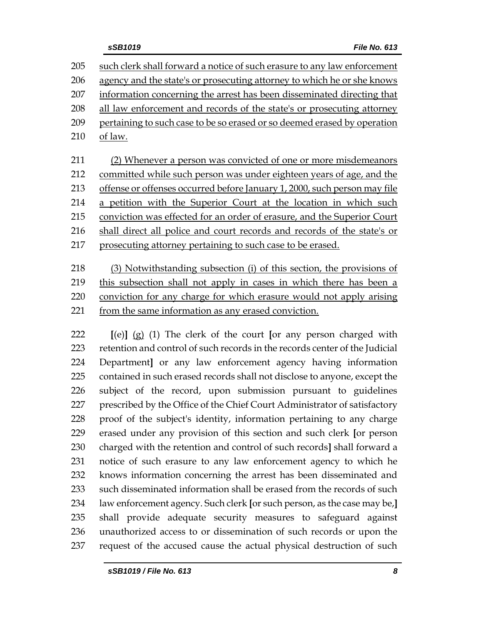| 205 | such clerk shall forward a notice of such erasure to any law enforcement  |
|-----|---------------------------------------------------------------------------|
| 206 | agency and the state's or prosecuting attorney to which he or she knows   |
| 207 | information concerning the arrest has been disseminated directing that    |
| 208 | all law enforcement and records of the state's or prosecuting attorney    |
| 209 | pertaining to such case to be so erased or so deemed erased by operation  |
| 210 | of law.                                                                   |
| 211 | (2) Whenever a person was convicted of one or more misdemeanors           |
| 212 | committed while such person was under eighteen years of age, and the      |
| 213 | offense or offenses occurred before January 1, 2000, such person may file |
| 214 | a petition with the Superior Court at the location in which such          |
| 215 | conviction was effected for an order of erasure, and the Superior Court   |
| 216 | shall direct all police and court records and records of the state's or   |
| 217 | prosecuting attorney pertaining to such case to be erased.                |
|     |                                                                           |
| 218 | (3) Notwithstanding subsection (i) of this section, the provisions of     |
| 219 | this subsection shall not apply in cases in which there has been a        |
|     |                                                                           |

 conviction for any charge for which erasure would not apply arising from the same information as any erased conviction.

 **[**(e)**]** (g) (1) The clerk of the court **[**or any person charged with retention and control of such records in the records center of the Judicial Department**]** or any law enforcement agency having information contained in such erased records shall not disclose to anyone, except the subject of the record, upon submission pursuant to guidelines prescribed by the Office of the Chief Court Administrator of satisfactory proof of the subject's identity, information pertaining to any charge erased under any provision of this section and such clerk **[**or person charged with the retention and control of such records**]** shall forward a notice of such erasure to any law enforcement agency to which he knows information concerning the arrest has been disseminated and such disseminated information shall be erased from the records of such law enforcement agency. Such clerk **[**or such person, as the case may be,**]** shall provide adequate security measures to safeguard against unauthorized access to or dissemination of such records or upon the request of the accused cause the actual physical destruction of such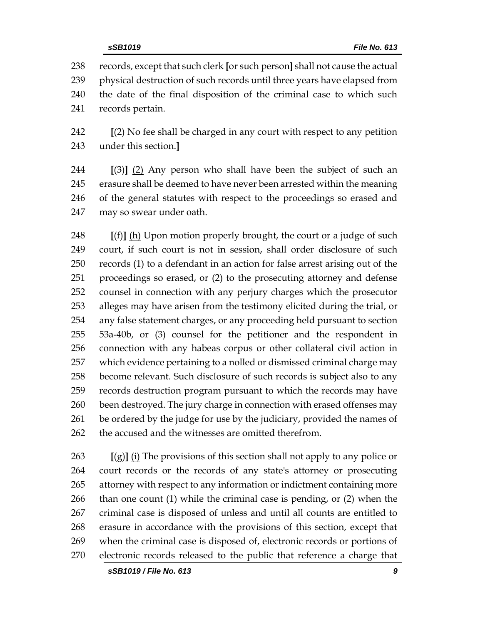records, except that such clerk **[**or such person**]** shall not cause the actual physical destruction of such records until three years have elapsed from the date of the final disposition of the criminal case to which such records pertain.

 **[**(2) No fee shall be charged in any court with respect to any petition under this section.**]**

 **[**(3)**]** (2) Any person who shall have been the subject of such an erasure shall be deemed to have never been arrested within the meaning of the general statutes with respect to the proceedings so erased and may so swear under oath.

 **[**(f)**]** (h) Upon motion properly brought, the court or a judge of such court, if such court is not in session, shall order disclosure of such records (1) to a defendant in an action for false arrest arising out of the proceedings so erased, or (2) to the prosecuting attorney and defense counsel in connection with any perjury charges which the prosecutor alleges may have arisen from the testimony elicited during the trial, or any false statement charges, or any proceeding held pursuant to section 53a-40b, or (3) counsel for the petitioner and the respondent in connection with any habeas corpus or other collateral civil action in which evidence pertaining to a nolled or dismissed criminal charge may become relevant. Such disclosure of such records is subject also to any records destruction program pursuant to which the records may have 260 been destroyed. The jury charge in connection with erased offenses may 261 be ordered by the judge for use by the judiciary, provided the names of the accused and the witnesses are omitted therefrom.

 **[**(g)**]** (i) The provisions of this section shall not apply to any police or court records or the records of any state's attorney or prosecuting attorney with respect to any information or indictment containing more than one count (1) while the criminal case is pending, or (2) when the criminal case is disposed of unless and until all counts are entitled to erasure in accordance with the provisions of this section, except that when the criminal case is disposed of, electronic records or portions of electronic records released to the public that reference a charge that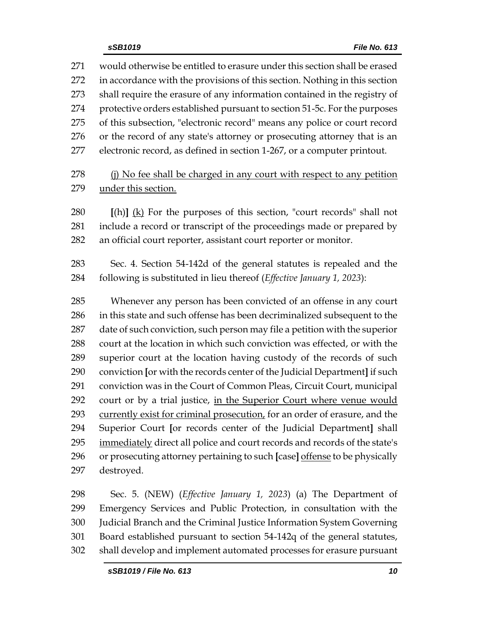would otherwise be entitled to erasure under this section shall be erased in accordance with the provisions of this section. Nothing in this section shall require the erasure of any information contained in the registry of protective orders established pursuant to section 51-5c. For the purposes of this subsection, "electronic record" means any police or court record or the record of any state's attorney or prosecuting attorney that is an electronic record, as defined in section 1-267, or a computer printout. 278 (i) No fee shall be charged in any court with respect to any petition under this section. **[**(h)**]** (k) For the purposes of this section, "court records" shall not include a record or transcript of the proceedings made or prepared by an official court reporter, assistant court reporter or monitor. Sec. 4. Section 54-142d of the general statutes is repealed and the following is substituted in lieu thereof (*Effective January 1, 2023*): Whenever any person has been convicted of an offense in any court in this state and such offense has been decriminalized subsequent to the date of such conviction, such person may file a petition with the superior court at the location in which such conviction was effected, or with the superior court at the location having custody of the records of such conviction **[**or with the records center of the Judicial Department**]** if such conviction was in the Court of Common Pleas, Circuit Court, municipal court or by a trial justice, in the Superior Court where venue would 293 currently exist for criminal prosecution, for an order of erasure, and the Superior Court **[**or records center of the Judicial Department**]** shall immediately direct all police and court records and records of the state's or prosecuting attorney pertaining to such **[**case**]** offense to be physically destroyed.

 Sec. 5. (NEW) (*Effective January 1, 2023*) (a) The Department of Emergency Services and Public Protection, in consultation with the Judicial Branch and the Criminal Justice Information System Governing Board established pursuant to section 54-142q of the general statutes, shall develop and implement automated processes for erasure pursuant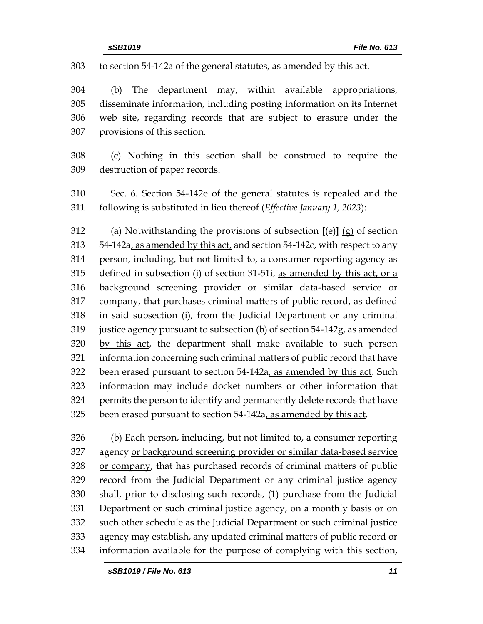to section 54-142a of the general statutes, as amended by this act.

 (b) The department may, within available appropriations, disseminate information, including posting information on its Internet web site, regarding records that are subject to erasure under the provisions of this section.

 (c) Nothing in this section shall be construed to require the destruction of paper records.

 Sec. 6. Section 54-142e of the general statutes is repealed and the following is substituted in lieu thereof (*Effective January 1, 2023*):

 (a) Notwithstanding the provisions of subsection **[**(e)**]** (g) of section 54-142a, as amended by this act, and section 54-142c, with respect to any person, including, but not limited to, a consumer reporting agency as defined in subsection (i) of section 31-51i, as amended by this act, or a background screening provider or similar data-based service or company, that purchases criminal matters of public record, as defined in said subsection (i), from the Judicial Department or any criminal justice agency pursuant to subsection (b) of section 54-142g, as amended by this act, the department shall make available to such person information concerning such criminal matters of public record that have 322 been erased pursuant to section 54-142a, as amended by this act. Such information may include docket numbers or other information that permits the person to identify and permanently delete records that have 325 been erased pursuant to section 54-142a, as amended by this act.

 (b) Each person, including, but not limited to, a consumer reporting agency or background screening provider or similar data-based service or company, that has purchased records of criminal matters of public record from the Judicial Department or any criminal justice agency shall, prior to disclosing such records, (1) purchase from the Judicial Department or such criminal justice agency, on a monthly basis or on 332 such other schedule as the Judicial Department or such criminal justice 333 agency may establish, any updated criminal matters of public record or information available for the purpose of complying with this section,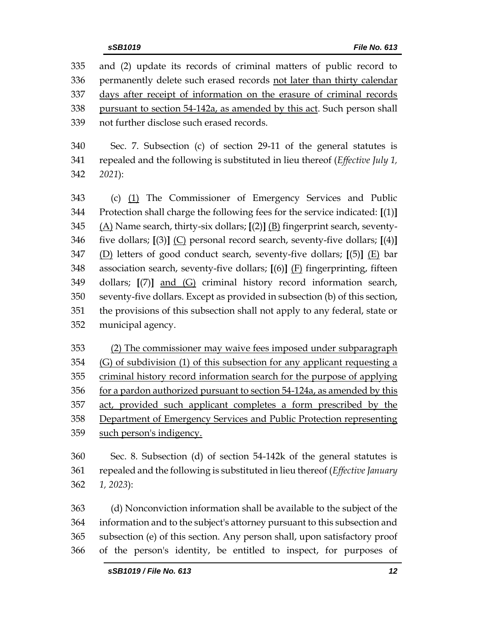and (2) update its records of criminal matters of public record to permanently delete such erased records not later than thirty calendar days after receipt of information on the erasure of criminal records pursuant to section 54-142a, as amended by this act. Such person shall not further disclose such erased records. Sec. 7. Subsection (c) of section 29-11 of the general statutes is repealed and the following is substituted in lieu thereof (*Effective July 1, 2021*): (c) (1) The Commissioner of Emergency Services and Public Protection shall charge the following fees for the service indicated: **[**(1)**]** (A) Name search, thirty-six dollars; **[**(2)**]** (B) fingerprint search, seventy- five dollars; **[**(3)**]** (C) personal record search, seventy-five dollars; **[**(4)**]** (D) letters of good conduct search, seventy-five dollars; **[**(5)**]** (E) bar association search, seventy-five dollars; **[**(6)**]** (F) fingerprinting, fifteen dollars; **[**(7)**]** and (G) criminal history record information search, seventy-five dollars. Except as provided in subsection (b) of this section, the provisions of this subsection shall not apply to any federal, state or municipal agency.

 (2) The commissioner may waive fees imposed under subparagraph (G) of subdivision (1) of this subsection for any applicant requesting a criminal history record information search for the purpose of applying for a pardon authorized pursuant to section 54-124a, as amended by this act, provided such applicant completes a form prescribed by the Department of Emergency Services and Public Protection representing 359 such person's indigency.

 Sec. 8. Subsection (d) of section 54-142k of the general statutes is repealed and the following is substituted in lieu thereof (*Effective January 1, 2023*):

 (d) Nonconviction information shall be available to the subject of the information and to the subject's attorney pursuant to this subsection and subsection (e) of this section. Any person shall, upon satisfactory proof of the person's identity, be entitled to inspect, for purposes of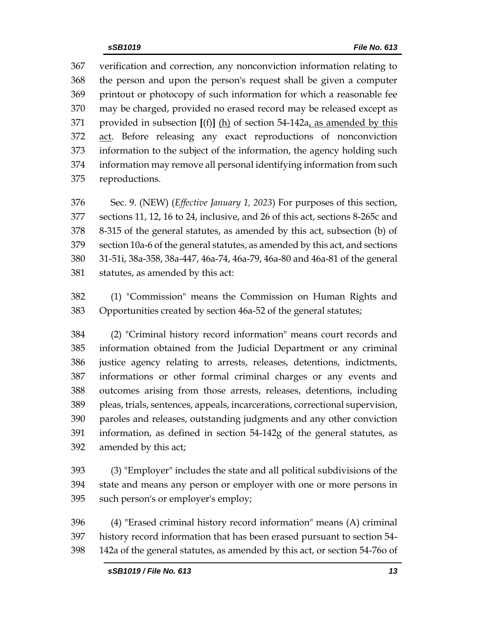verification and correction, any nonconviction information relating to the person and upon the person's request shall be given a computer printout or photocopy of such information for which a reasonable fee may be charged, provided no erased record may be released except as provided in subsection **[**(f)**]** (h) of section 54-142a, as amended by this act. Before releasing any exact reproductions of nonconviction information to the subject of the information, the agency holding such information may remove all personal identifying information from such reproductions.

 Sec. 9. (NEW) (*Effective January 1, 2023*) For purposes of this section, sections 11, 12, 16 to 24, inclusive, and 26 of this act, sections 8-265c and 8-315 of the general statutes, as amended by this act, subsection (b) of section 10a-6 of the general statutes, as amended by this act, and sections 31-51i, 38a-358, 38a-447, 46a-74, 46a-79, 46a-80 and 46a-81 of the general statutes, as amended by this act:

 (1) "Commission" means the Commission on Human Rights and Opportunities created by section 46a-52 of the general statutes;

 (2) "Criminal history record information" means court records and information obtained from the Judicial Department or any criminal justice agency relating to arrests, releases, detentions, indictments, informations or other formal criminal charges or any events and outcomes arising from those arrests, releases, detentions, including pleas, trials, sentences, appeals, incarcerations, correctional supervision, paroles and releases, outstanding judgments and any other conviction information, as defined in [section 54-142g](https://1.next.westlaw.com/Link/Document/FullText?findType=L&pubNum=1000264&cite=CTSTS54-142G&originatingDoc=ND7547DF0547E11E6A483DFBDA551E575&refType=LQ&originationContext=document&transitionType=DocumentItem&contextData=(sc.Search)) of the general statutes, as amended by this act;

 (3) "Employer" includes the state and all political subdivisions of the state and means any person or employer with one or more persons in such person's or employer's employ;

 (4) "Erased criminal history record information" means (A) criminal history record information that has been erased pursuant to section 54- 142a of the general statutes, as amended by this act, or section 54-76o of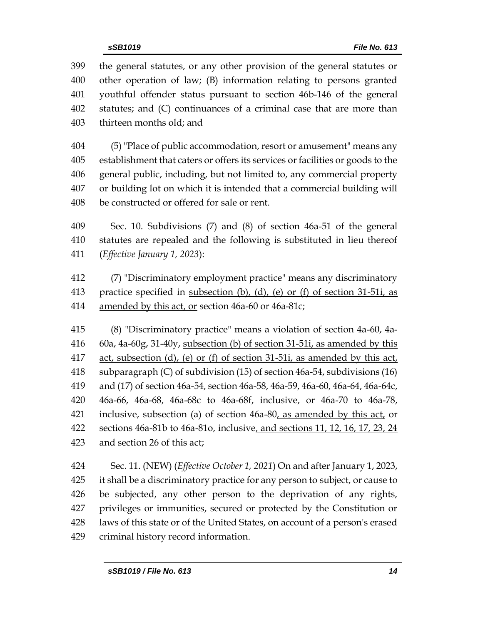the general statutes, or any other provision of the general statutes or other operation of law; (B) information relating to persons granted youthful offender status pursuant to section 46b-146 of the general statutes; and (C) continuances of a criminal case that are more than thirteen months old; and

 (5) "Place of public accommodation, resort or amusement" means any establishment that caters or offers its services or facilities or goods to the general public, including, but not limited to, any commercial property or building lot on which it is intended that a commercial building will be constructed or offered for sale or rent.

 Sec. 10. Subdivisions (7) and (8) of section 46a-51 of the general statutes are repealed and the following is substituted in lieu thereof (*Effective January 1, 2023*):

 (7) "Discriminatory employment practice" means any discriminatory practice specified in subsection (b), (d), (e) or (f) of section 31-51i, as amended by this act, or section 46a-60 or 46a-81c;

 (8) "Discriminatory practice" means a violation of section 4a-60, 4a- 60a, 4a-60g, 31-40y, subsection (b) of section 31-51i, as amended by this act, subsection (d), (e) or (f) of section 31-51i, as amended by this act, subparagraph (C) of subdivision (15) of section 46a-54, subdivisions (16) and (17) of section 46a-54, section 46a-58, 46a-59, 46a-60, 46a-64, 46a-64c, 46a-66, 46a-68, 46a-68c to 46a-68f, inclusive, or 46a-70 to 46a-78, 421 inclusive, subsection (a) of section 46a-80, as amended by this act, or sections 46a-81b to 46a-81o, inclusive, and sections 11, 12, 16, 17, 23, 24 and section 26 of this act;

 Sec. 11. (NEW) (*Effective October 1, 2021*) On and after January 1, 2023, it shall be a discriminatory practice for any person to subject, or cause to be subjected, any other person to the deprivation of any rights, privileges or immunities, secured or protected by the Constitution or laws of this state or of the United States, on account of a person's erased criminal history record information.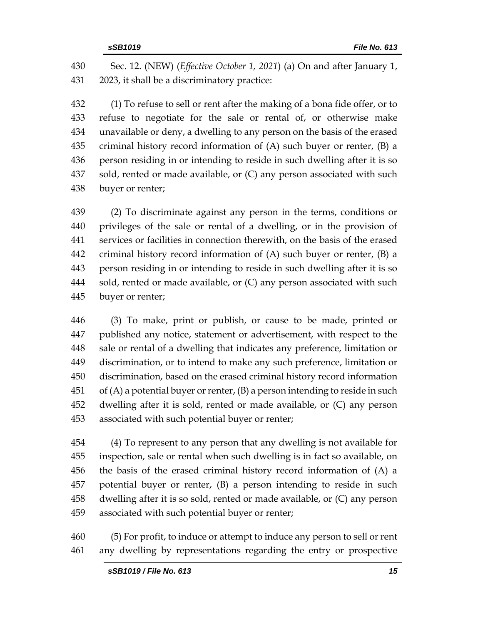Sec. 12. (NEW) (*Effective October 1, 2021*) (a) On and after January 1, 2023, it shall be a discriminatory practice:

 (1) To refuse to sell or rent after the making of a bona fide offer, or to refuse to negotiate for the sale or rental of, or otherwise make unavailable or deny, a dwelling to any person on the basis of the erased criminal history record information of (A) such buyer or renter, (B) a person residing in or intending to reside in such dwelling after it is so sold, rented or made available, or (C) any person associated with such buyer or renter;

 (2) To discriminate against any person in the terms, conditions or privileges of the sale or rental of a dwelling, or in the provision of services or facilities in connection therewith, on the basis of the erased criminal history record information of (A) such buyer or renter, (B) a person residing in or intending to reside in such dwelling after it is so 444 sold, rented or made available, or (C) any person associated with such buyer or renter;

 (3) To make, print or publish, or cause to be made, printed or published any notice, statement or advertisement, with respect to the sale or rental of a dwelling that indicates any preference, limitation or discrimination, or to intend to make any such preference, limitation or discrimination, based on the erased criminal history record information of (A) a potential buyer or renter, (B) a person intending to reside in such dwelling after it is sold, rented or made available, or (C) any person associated with such potential buyer or renter;

 (4) To represent to any person that any dwelling is not available for inspection, sale or rental when such dwelling is in fact so available, on the basis of the erased criminal history record information of (A) a potential buyer or renter, (B) a person intending to reside in such dwelling after it is so sold, rented or made available, or (C) any person associated with such potential buyer or renter;

 (5) For profit, to induce or attempt to induce any person to sell or rent any dwelling by representations regarding the entry or prospective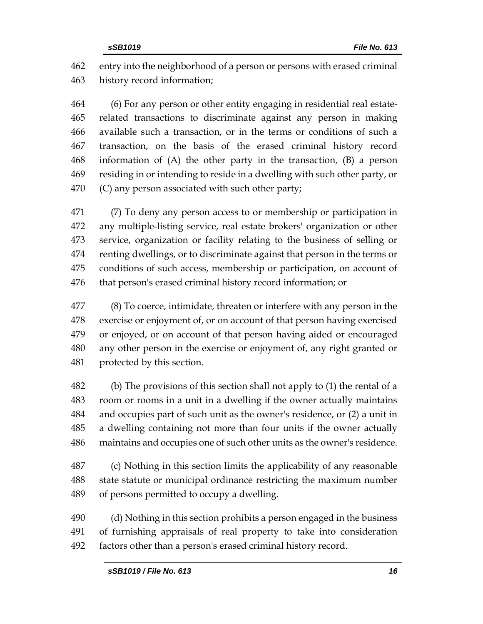entry into the neighborhood of a person or persons with erased criminal history record information;

 (6) For any person or other entity engaging in residential real estate- related transactions to discriminate against any person in making available such a transaction, or in the terms or conditions of such a transaction, on the basis of the erased criminal history record information of (A) the other party in the transaction, (B) a person residing in or intending to reside in a dwelling with such other party, or (C) any person associated with such other party;

 (7) To deny any person access to or membership or participation in any multiple-listing service, real estate brokers' organization or other service, organization or facility relating to the business of selling or renting dwellings, or to discriminate against that person in the terms or conditions of such access, membership or participation, on account of that person's erased criminal history record information; or

 (8) To coerce, intimidate, threaten or interfere with any person in the exercise or enjoyment of, or on account of that person having exercised or enjoyed, or on account of that person having aided or encouraged any other person in the exercise or enjoyment of, any right granted or protected by this section.

 (b) The provisions of this section shall not apply to (1) the rental of a room or rooms in a unit in a dwelling if the owner actually maintains and occupies part of such unit as the owner's residence, or (2) a unit in a dwelling containing not more than four units if the owner actually maintains and occupies one of such other units as the owner's residence.

 (c) Nothing in this section limits the applicability of any reasonable state statute or municipal ordinance restricting the maximum number of persons permitted to occupy a dwelling.

 (d) Nothing in this section prohibits a person engaged in the business of furnishing appraisals of real property to take into consideration factors other than a person's erased criminal history record.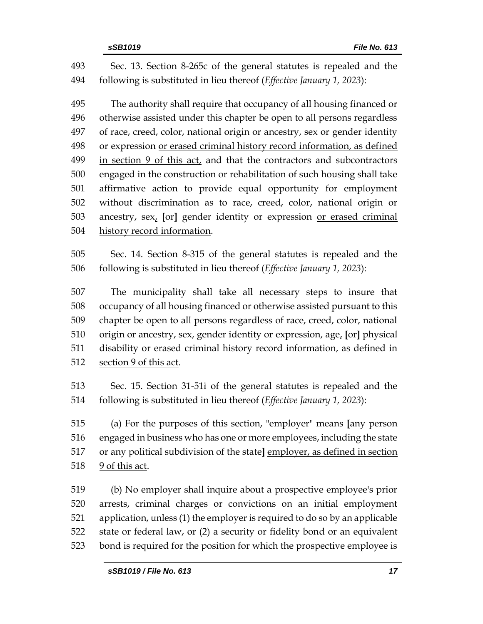Sec. 13. Section 8-265c of the general statutes is repealed and the following is substituted in lieu thereof (*Effective January 1, 2023*):

 The authority shall require that occupancy of all housing financed or otherwise assisted under this chapter be open to all persons regardless of race, creed, color, national origin or ancestry, sex or gender identity or expression or erased criminal history record information, as defined in section 9 of this act, and that the contractors and subcontractors engaged in the construction or rehabilitation of such housing shall take affirmative action to provide equal opportunity for employment without discrimination as to race, creed, color, national origin or ancestry, sex, **[**or**]** gender identity or expression or erased criminal history record information.

 Sec. 14. Section 8-315 of the general statutes is repealed and the following is substituted in lieu thereof (*Effective January 1, 2023*):

 The municipality shall take all necessary steps to insure that occupancy of all housing financed or otherwise assisted pursuant to this chapter be open to all persons regardless of race, creed, color, national origin or ancestry, sex, gender identity or expression, age, **[**or**]** physical disability or erased criminal history record information, as defined in 512 <u>section 9 of this act</u>.

 Sec. 15. Section 31-51i of the general statutes is repealed and the following is substituted in lieu thereof (*Effective January 1, 2023*):

 (a) For the purposes of this section, "employer" means **[**any person engaged in business who has one or more employees, including the state or any political subdivision of the state**]** employer, as defined in section 9 of this act.

 (b) No employer shall inquire about a prospective employee's prior arrests, criminal charges or convictions on an initial employment application, unless (1) the employer is required to do so by an applicable state or federal law, or (2) a security or fidelity bond or an equivalent bond is required for the position for which the prospective employee is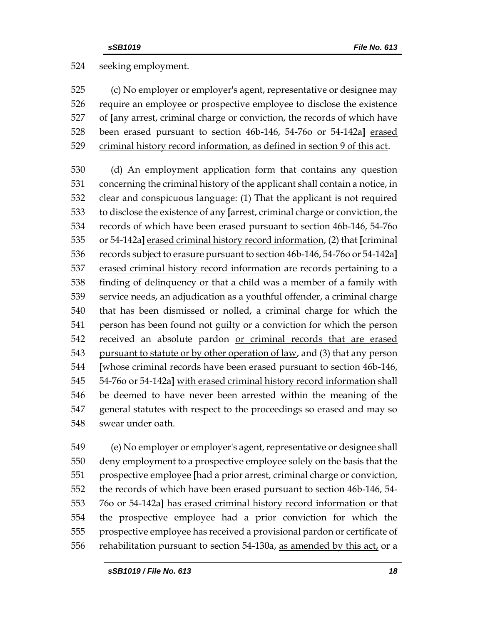seeking employment.

 (c) No employer or employer's agent, representative or designee may require an employee or prospective employee to disclose the existence of **[**any arrest, criminal charge or conviction, the records of which have been erased pursuant to section 46b-146, 54-76o or 54-142a**]** erased criminal history record information, as defined in section 9 of this act.

 (d) An employment application form that contains any question concerning the criminal history of the applicant shall contain a notice, in clear and conspicuous language: (1) That the applicant is not required to disclose the existence of any **[**arrest, criminal charge or conviction, the records of which have been erased pursuant to section 46b-146, 54-76o or 54-142a**]** erased criminal history record information, (2) that **[**criminal records subject to erasure pursuant to section 46b-146, 54-76o or 54-142a**]** erased criminal history record information are records pertaining to a finding of delinquency or that a child was a member of a family with service needs, an adjudication as a youthful offender, a criminal charge that has been dismissed or nolled, a criminal charge for which the person has been found not guilty or a conviction for which the person received an absolute pardon or criminal records that are erased 543 pursuant to statute or by other operation of law, and (3) that any person **[**whose criminal records have been erased pursuant to section 46b-146, 54-76o or 54-142a**]** with erased criminal history record information shall be deemed to have never been arrested within the meaning of the general statutes with respect to the proceedings so erased and may so swear under oath.

 (e) No employer or employer's agent, representative or designee shall deny employment to a prospective employee solely on the basis that the prospective employee **[**had a prior arrest, criminal charge or conviction, the records of which have been erased pursuant to section 46b-146, 54- 76o or 54-142a**]** has erased criminal history record information or that the prospective employee had a prior conviction for which the prospective employee has received a provisional pardon or certificate of rehabilitation pursuant to section 54-130a, as amended by this act, or a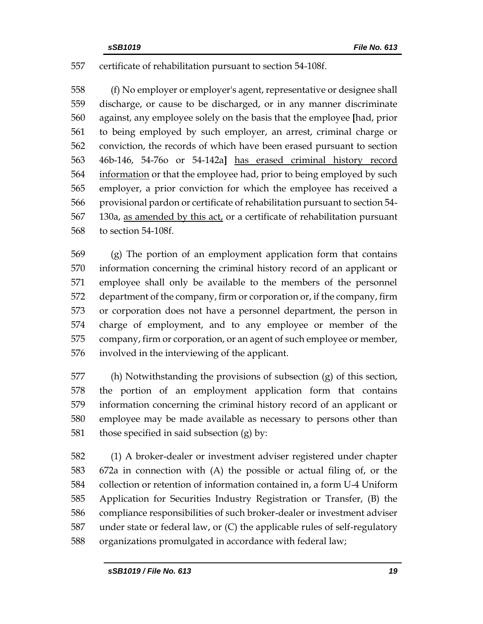# certificate of rehabilitation pursuant to section 54-108f.

 (f) No employer or employer's agent, representative or designee shall discharge, or cause to be discharged, or in any manner discriminate against, any employee solely on the basis that the employee **[**had, prior to being employed by such employer, an arrest, criminal charge or conviction, the records of which have been erased pursuant to section 46b-146, 54-76o or 54-142a**]** has erased criminal history record 564 information or that the employee had, prior to being employed by such employer, a prior conviction for which the employee has received a provisional pardon or certificate of rehabilitation pursuant to section 54- 130a, as amended by this act, or a certificate of rehabilitation pursuant to section 54-108f.

 (g) The portion of an employment application form that contains information concerning the criminal history record of an applicant or employee shall only be available to the members of the personnel department of the company, firm or corporation or, if the company, firm or corporation does not have a personnel department, the person in charge of employment, and to any employee or member of the company, firm or corporation, or an agent of such employee or member, involved in the interviewing of the applicant.

 (h) Notwithstanding the provisions of subsection (g) of this section, the portion of an employment application form that contains information concerning the criminal history record of an applicant or employee may be made available as necessary to persons other than those specified in said subsection (g) by:

 (1) A broker-dealer or investment adviser registered under chapter 672a in connection with (A) the possible or actual filing of, or the collection or retention of information contained in, a form U-4 Uniform Application for Securities Industry Registration or Transfer, (B) the compliance responsibilities of such broker-dealer or investment adviser under state or federal law, or (C) the applicable rules of self-regulatory organizations promulgated in accordance with federal law;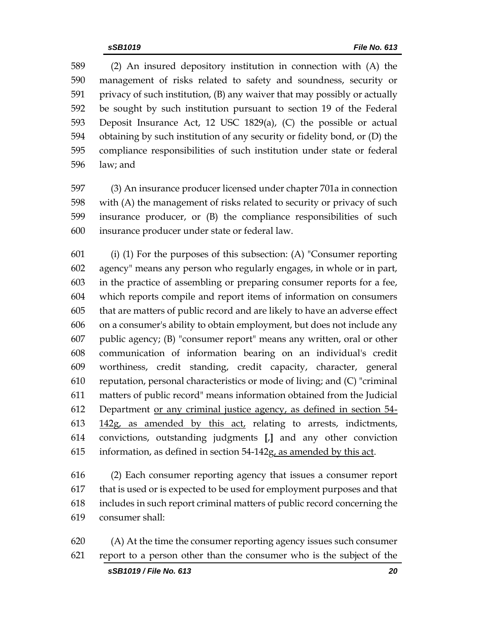(2) An insured depository institution in connection with (A) the management of risks related to safety and soundness, security or privacy of such institution, (B) any waiver that may possibly or actually be sought by such institution pursuant to section 19 of the Federal Deposit Insurance Act, 12 USC 1829(a), (C) the possible or actual obtaining by such institution of any security or fidelity bond, or (D) the compliance responsibilities of such institution under state or federal law; and

 (3) An insurance producer licensed under chapter 701a in connection with (A) the management of risks related to security or privacy of such insurance producer, or (B) the compliance responsibilities of such insurance producer under state or federal law.

 (i) (1) For the purposes of this subsection: (A) "Consumer reporting agency" means any person who regularly engages, in whole or in part, in the practice of assembling or preparing consumer reports for a fee, which reports compile and report items of information on consumers that are matters of public record and are likely to have an adverse effect on a consumer's ability to obtain employment, but does not include any public agency; (B) "consumer report" means any written, oral or other communication of information bearing on an individual's credit worthiness, credit standing, credit capacity, character, general reputation, personal characteristics or mode of living; and (C) "criminal matters of public record" means information obtained from the Judicial Department or any criminal justice agency, as defined in section 54- 142g, as amended by this act, relating to arrests, indictments, convictions, outstanding judgments **[**,**]** and any other conviction information, as defined in section 54-142g, as amended by this act.

 (2) Each consumer reporting agency that issues a consumer report that is used or is expected to be used for employment purposes and that includes in such report criminal matters of public record concerning the consumer shall:

 (A) At the time the consumer reporting agency issues such consumer report to a person other than the consumer who is the subject of the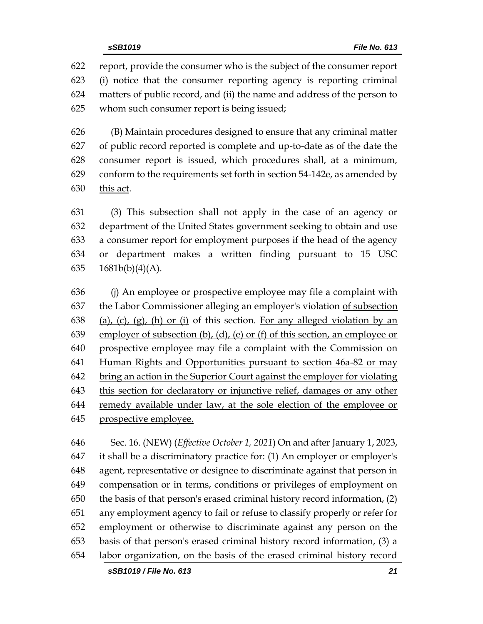report, provide the consumer who is the subject of the consumer report (i) notice that the consumer reporting agency is reporting criminal matters of public record, and (ii) the name and address of the person to whom such consumer report is being issued;

 (B) Maintain procedures designed to ensure that any criminal matter of public record reported is complete and up-to-date as of the date the consumer report is issued, which procedures shall, at a minimum, conform to the requirements set forth in section 54-142e, as amended by this act.

 (3) This subsection shall not apply in the case of an agency or department of the United States government seeking to obtain and use a consumer report for employment purposes if the head of the agency or department makes a written finding pursuant to 15 USC 1681b(b)(4)(A).

 (j) An employee or prospective employee may file a complaint with the Labor Commissioner alleging an employer's violation of subsection 638 (a), (c), (g), (h) or (i) of this section. For any alleged violation by an employer of subsection (b), (d), (e) or (f) of this section, an employee or prospective employee may file a complaint with the Commission on Human Rights and Opportunities pursuant to section 46a-82 or may bring an action in the Superior Court against the employer for violating this section for declaratory or injunctive relief, damages or any other remedy available under law, at the sole election of the employee or prospective employee.

 Sec. 16. (NEW) (*Effective October 1, 2021*) On and after January 1, 2023, it shall be a discriminatory practice for: (1) An employer or employer's agent, representative or designee to discriminate against that person in compensation or in terms, conditions or privileges of employment on the basis of that person's erased criminal history record information, (2) any employment agency to fail or refuse to classify properly or refer for employment or otherwise to discriminate against any person on the basis of that person's erased criminal history record information, (3) a labor organization, on the basis of the erased criminal history record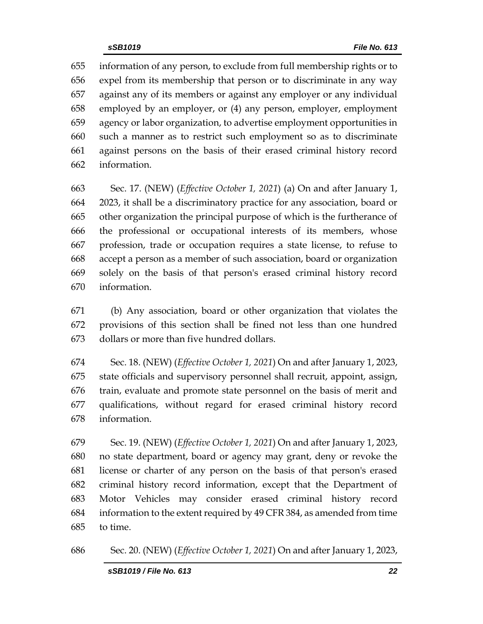information of any person, to exclude from full membership rights or to expel from its membership that person or to discriminate in any way against any of its members or against any employer or any individual employed by an employer, or (4) any person, employer, employment agency or labor organization, to advertise employment opportunities in such a manner as to restrict such employment so as to discriminate against persons on the basis of their erased criminal history record information.

 Sec. 17. (NEW) (*Effective October 1, 2021*) (a) On and after January 1, 2023, it shall be a discriminatory practice for any association, board or other organization the principal purpose of which is the furtherance of the professional or occupational interests of its members, whose profession, trade or occupation requires a state license, to refuse to accept a person as a member of such association, board or organization solely on the basis of that person's erased criminal history record information.

 (b) Any association, board or other organization that violates the provisions of this section shall be fined not less than one hundred dollars or more than five hundred dollars.

 Sec. 18. (NEW) (*Effective October 1, 2021*) On and after January 1, 2023, state officials and supervisory personnel shall recruit, appoint, assign, train, evaluate and promote state personnel on the basis of merit and qualifications, without regard for erased criminal history record information.

 Sec. 19. (NEW) (*Effective October 1, 2021*) On and after January 1, 2023, no state department, board or agency may grant, deny or revoke the license or charter of any person on the basis of that person's erased criminal history record information, except that the Department of Motor Vehicles may consider erased criminal history record information to the extent required by 49 CFR 384, as amended from time to time.

Sec. 20. (NEW) (*Effective October 1, 2021*) On and after January 1, 2023,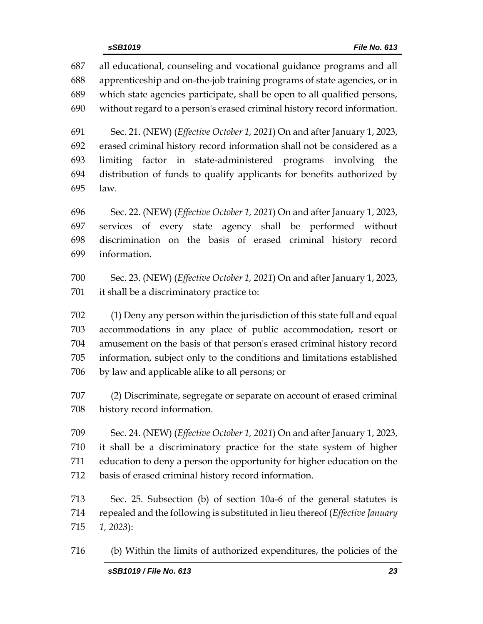all educational, counseling and vocational guidance programs and all apprenticeship and on-the-job training programs of state agencies, or in which state agencies participate, shall be open to all qualified persons, without regard to a person's erased criminal history record information.

 Sec. 21. (NEW) (*Effective October 1, 2021*) On and after January 1, 2023, erased criminal history record information shall not be considered as a limiting factor in state-administered programs involving the distribution of funds to qualify applicants for benefits authorized by law.

 Sec. 22. (NEW) (*Effective October 1, 2021*) On and after January 1, 2023, services of every state agency shall be performed without discrimination on the basis of erased criminal history record information.

 Sec. 23. (NEW) (*Effective October 1, 2021*) On and after January 1, 2023, it shall be a discriminatory practice to:

 (1) Deny any person within the jurisdiction of this state full and equal accommodations in any place of public accommodation, resort or amusement on the basis of that person's erased criminal history record information, subject only to the conditions and limitations established by law and applicable alike to all persons; or

 (2) Discriminate, segregate or separate on account of erased criminal history record information.

 Sec. 24. (NEW) (*Effective October 1, 2021*) On and after January 1, 2023, it shall be a discriminatory practice for the state system of higher education to deny a person the opportunity for higher education on the basis of erased criminal history record information.

 Sec. 25. Subsection (b) of section 10a-6 of the general statutes is repealed and the following is substituted in lieu thereof (*Effective January 1, 2023*):

(b) Within the limits of authorized expenditures, the policies of the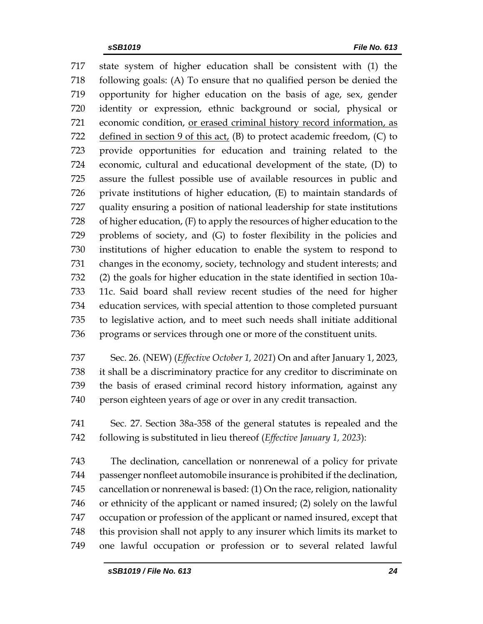state system of higher education shall be consistent with (1) the following goals: (A) To ensure that no qualified person be denied the opportunity for higher education on the basis of age, sex, gender identity or expression, ethnic background or social, physical or economic condition, or erased criminal history record information, as 722 defined in section 9 of this act,  $(B)$  to protect academic freedom,  $(C)$  to provide opportunities for education and training related to the economic, cultural and educational development of the state, (D) to assure the fullest possible use of available resources in public and private institutions of higher education, (E) to maintain standards of quality ensuring a position of national leadership for state institutions of higher education, (F) to apply the resources of higher education to the problems of society, and (G) to foster flexibility in the policies and institutions of higher education to enable the system to respond to changes in the economy, society, technology and student interests; and (2) the goals for higher education in the state identified in section 10a- 11c. Said board shall review recent studies of the need for higher education services, with special attention to those completed pursuant to legislative action, and to meet such needs shall initiate additional programs or services through one or more of the constituent units.

- Sec. 26. (NEW) (*Effective October 1, 2021*) On and after January 1, 2023, it shall be a discriminatory practice for any creditor to discriminate on the basis of erased criminal record history information, against any person eighteen years of age or over in any credit transaction.
- Sec. 27. Section 38a-358 of the general statutes is repealed and the following is substituted in lieu thereof (*Effective January 1, 2023*):

 The declination, cancellation or nonrenewal of a policy for private passenger nonfleet automobile insurance is prohibited if the declination, cancellation or nonrenewal is based: (1) On the race, religion, nationality or ethnicity of the applicant or named insured; (2) solely on the lawful occupation or profession of the applicant or named insured, except that this provision shall not apply to any insurer which limits its market to one lawful occupation or profession or to several related lawful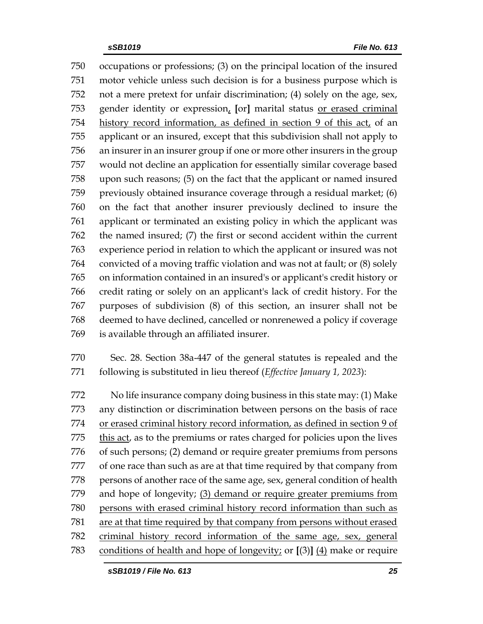occupations or professions; (3) on the principal location of the insured motor vehicle unless such decision is for a business purpose which is not a mere pretext for unfair discrimination; (4) solely on the age, sex, gender identity or expression, **[**or**]** marital status or erased criminal 754 history record information, as defined in section 9 of this act, of an applicant or an insured, except that this subdivision shall not apply to an insurer in an insurer group if one or more other insurers in the group would not decline an application for essentially similar coverage based upon such reasons; (5) on the fact that the applicant or named insured previously obtained insurance coverage through a residual market; (6) on the fact that another insurer previously declined to insure the applicant or terminated an existing policy in which the applicant was the named insured; (7) the first or second accident within the current experience period in relation to which the applicant or insured was not convicted of a moving traffic violation and was not at fault; or (8) solely on information contained in an insured's or applicant's credit history or credit rating or solely on an applicant's lack of credit history. For the purposes of subdivision (8) of this section, an insurer shall not be deemed to have declined, cancelled or nonrenewed a policy if coverage is available through an affiliated insurer.

 Sec. 28. Section 38a-447 of the general statutes is repealed and the following is substituted in lieu thereof (*Effective January 1, 2023*):

 No life insurance company doing business in this state may: (1) Make any distinction or discrimination between persons on the basis of race or erased criminal history record information, as defined in section 9 of this act, as to the premiums or rates charged for policies upon the lives of such persons; (2) demand or require greater premiums from persons of one race than such as are at that time required by that company from persons of another race of the same age, sex, general condition of health and hope of longevity; (3) demand or require greater premiums from persons with erased criminal history record information than such as are at that time required by that company from persons without erased criminal history record information of the same age, sex, general conditions of health and hope of longevity; or **[**(3)**]** (4) make or require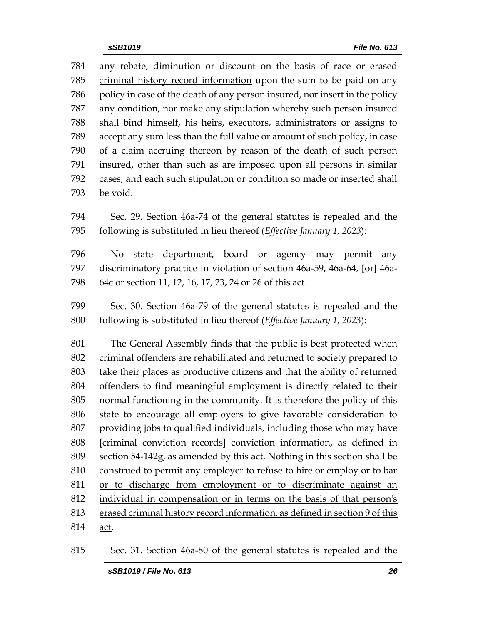any rebate, diminution or discount on the basis of race or erased criminal history record information upon the sum to be paid on any policy in case of the death of any person insured, nor insert in the policy any condition, nor make any stipulation whereby such person insured shall bind himself, his heirs, executors, administrators or assigns to accept any sum less than the full value or amount of such policy, in case of a claim accruing thereon by reason of the death of such person insured, other than such as are imposed upon all persons in similar cases; and each such stipulation or condition so made or inserted shall be void.

 Sec. 29. Section 46a-74 of the general statutes is repealed and the following is substituted in lieu thereof (*Effective January 1, 2023*):

 No state department, board or agency may permit any discriminatory practice in violation of section 46a-59, 46a-64, **[**or**]** 46a-64c or section 11, 12, 16, 17, 23, 24 or 26 of this act.

 Sec. 30. Section 46a-79 of the general statutes is repealed and the following is substituted in lieu thereof (*Effective January 1, 2023*):

 The General Assembly finds that the public is best protected when criminal offenders are rehabilitated and returned to society prepared to take their places as productive citizens and that the ability of returned offenders to find meaningful employment is directly related to their normal functioning in the community. It is therefore the policy of this state to encourage all employers to give favorable consideration to providing jobs to qualified individuals, including those who may have **[**criminal conviction records**]** conviction information, as defined in section 54-142g, as amended by this act. Nothing in this section shall be construed to permit any employer to refuse to hire or employ or to bar or to discharge from employment or to discriminate against an individual in compensation or in terms on the basis of that person's erased criminal history record information, as defined in section 9 of this act.

Sec. 31. Section 46a-80 of the general statutes is repealed and the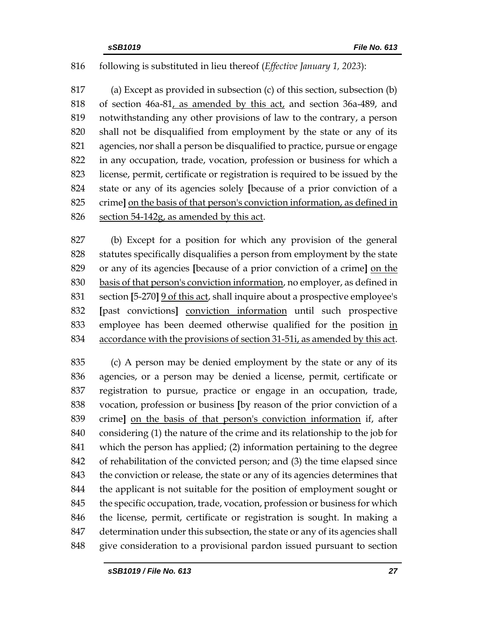# following is substituted in lieu thereof (*Effective January 1, 2023*):

 (a) Except as provided in subsection (c) of this section, subsection (b) of section 46a-81, as amended by this act, and section 36a-489, and notwithstanding any other provisions of law to the contrary, a person shall not be disqualified from employment by the state or any of its agencies, nor shall a person be disqualified to practice, pursue or engage in any occupation, trade, vocation, profession or business for which a license, permit, certificate or registration is required to be issued by the state or any of its agencies solely **[**because of a prior conviction of a crime**]** on the basis of that person's conviction information, as defined in section 54-142g, as amended by this act.

 (b) Except for a position for which any provision of the general statutes specifically disqualifies a person from employment by the state or any of its agencies **[**because of a prior conviction of a crime**]** on the basis of that person's conviction information, no employer, as defined in section **[**5-270**]** 9 of this act, shall inquire about a prospective employee's **[**past convictions**]** conviction information until such prospective employee has been deemed otherwise qualified for the position in accordance with the provisions of section 31-51i, as amended by this act.

 (c) A person may be denied employment by the state or any of its agencies, or a person may be denied a license, permit, certificate or registration to pursue, practice or engage in an occupation, trade, vocation, profession or business **[**by reason of the prior conviction of a crime**]** on the basis of that person's conviction information if, after considering (1) the nature of the crime and its relationship to the job for which the person has applied; (2) information pertaining to the degree of rehabilitation of the convicted person; and (3) the time elapsed since 843 the conviction or release, the state or any of its agencies determines that the applicant is not suitable for the position of employment sought or the specific occupation, trade, vocation, profession or business for which the license, permit, certificate or registration is sought. In making a determination under this subsection, the state or any of its agencies shall give consideration to a provisional pardon issued pursuant to section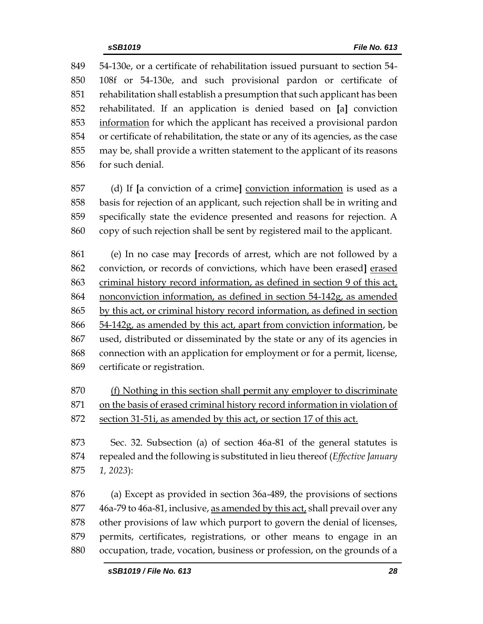54-130e, or a certificate of rehabilitation issued pursuant to section 54- 108f or 54-130e, and such provisional pardon or certificate of rehabilitation shall establish a presumption that such applicant has been rehabilitated. If an application is denied based on **[**a**]** conviction information for which the applicant has received a provisional pardon or certificate of rehabilitation, the state or any of its agencies, as the case may be, shall provide a written statement to the applicant of its reasons for such denial.

 (d) If **[**a conviction of a crime**]** conviction information is used as a basis for rejection of an applicant, such rejection shall be in writing and specifically state the evidence presented and reasons for rejection. A copy of such rejection shall be sent by registered mail to the applicant.

 (e) In no case may **[**records of arrest, which are not followed by a conviction, or records of convictions, which have been erased**]** erased criminal history record information, as defined in section 9 of this act, nonconviction information, as defined in section 54-142g, as amended by this act, or criminal history record information, as defined in section 54-142g, as amended by this act, apart from conviction information, be used, distributed or disseminated by the state or any of its agencies in connection with an application for employment or for a permit, license, certificate or registration.

 (f) Nothing in this section shall permit any employer to discriminate on the basis of erased criminal history record information in violation of

section 31-51i, as amended by this act, or section 17 of this act.

 Sec. 32. Subsection (a) of section 46a-81 of the general statutes is repealed and the following is substituted in lieu thereof (*Effective January 1, 2023*):

 (a) Except as provided in section 36a-489, the provisions of sections 46a-79 to 46a-81, inclusive, as amended by this act, shall prevail over any other provisions of law which purport to govern the denial of licenses, permits, certificates, registrations, or other means to engage in an occupation, trade, vocation, business or profession, on the grounds of a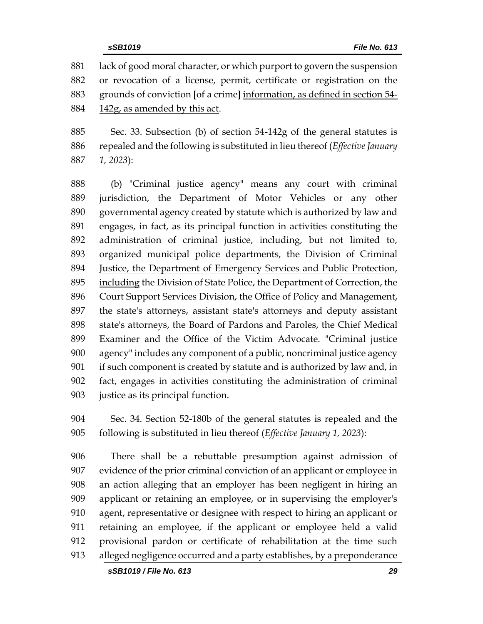lack of good moral character, or which purport to govern the suspension or revocation of a license, permit, certificate or registration on the grounds of conviction **[**of a crime**]** information, as defined in section 54- 142g, as amended by this act.

 Sec. 33. Subsection (b) of section 54-142g of the general statutes is repealed and the following is substituted in lieu thereof (*Effective January 1, 2023*):

 (b) "Criminal justice agency" means any court with criminal jurisdiction, the Department of Motor Vehicles or any other governmental agency created by statute which is authorized by law and engages, in fact, as its principal function in activities constituting the administration of criminal justice, including, but not limited to, organized municipal police departments, the Division of Criminal Justice, the Department of Emergency Services and Public Protection, including the Division of State Police, the Department of Correction, the Court Support Services Division, the Office of Policy and Management, the state's attorneys, assistant state's attorneys and deputy assistant state's attorneys, the Board of Pardons and Paroles, the Chief Medical Examiner and the Office of the Victim Advocate. "Criminal justice agency" includes any component of a public, noncriminal justice agency if such component is created by statute and is authorized by law and, in fact, engages in activities constituting the administration of criminal justice as its principal function.

 Sec. 34. Section 52-180b of the general statutes is repealed and the following is substituted in lieu thereof (*Effective January 1, 2023*):

 There shall be a rebuttable presumption against admission of evidence of the prior criminal conviction of an applicant or employee in an action alleging that an employer has been negligent in hiring an applicant or retaining an employee, or in supervising the employer's agent, representative or designee with respect to hiring an applicant or retaining an employee, if the applicant or employee held a valid provisional pardon or certificate of rehabilitation at the time such alleged negligence occurred and a party establishes, by a preponderance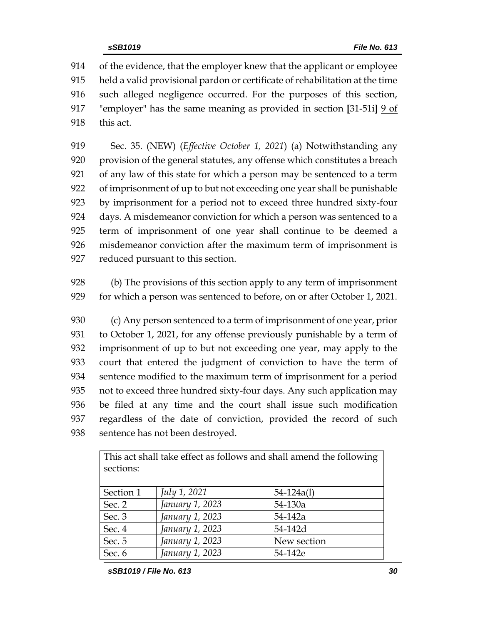of the evidence, that the employer knew that the applicant or employee held a valid provisional pardon or certificate of rehabilitation at the time such alleged negligence occurred. For the purposes of this section, "employer" has the same meaning as provided in section **[**31-51i**]** 9 of this act.

 Sec. 35. (NEW) (*Effective October 1, 2021*) (a) Notwithstanding any provision of the general statutes, any offense which constitutes a breach of any law of this state for which a person may be sentenced to a term of imprisonment of up to but not exceeding one year shall be punishable by imprisonment for a period not to exceed three hundred sixty-four days. A misdemeanor conviction for which a person was sentenced to a term of imprisonment of one year shall continue to be deemed a misdemeanor conviction after the maximum term of imprisonment is reduced pursuant to this section.

 (b) The provisions of this section apply to any term of imprisonment for which a person was sentenced to before, on or after October 1, 2021.

 (c) Any person sentenced to a term of imprisonment of one year, prior to October 1, 2021, for any offense previously punishable by a term of imprisonment of up to but not exceeding one year, may apply to the court that entered the judgment of conviction to have the term of sentence modified to the maximum term of imprisonment for a period not to exceed three hundred sixty-four days. Any such application may be filed at any time and the court shall issue such modification regardless of the date of conviction, provided the record of such sentence has not been destroyed.

| sections: |                     |                |
|-----------|---------------------|----------------|
| Section 1 | <i>July 1, 2021</i> | $54 - 124a(1)$ |
| Sec. 2    | January 1, 2023     | $54-130a$      |
| Sec. 3    | January 1, 2023     | 54-142a        |
| Sec. 4    | January 1, 2023     | 54-142d        |
| Sec. 5    | January 1, 2023     | New section    |
| Sec. $6$  | January 1, 2023     | 54-142e        |

This act shall take effect as follows and shall amend the following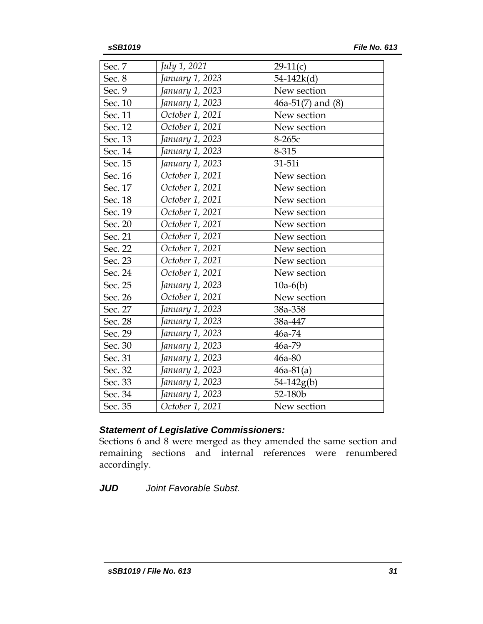| Sec. 7  | July 1, 2021    | $29-11(c)$            |
|---------|-----------------|-----------------------|
| Sec. 8  | January 1, 2023 | $54 - 142k(d)$        |
| Sec. 9  | January 1, 2023 | New section           |
| Sec. 10 | January 1, 2023 | $46a-51(7)$ and $(8)$ |
| Sec. 11 | October 1, 2021 | New section           |
| Sec. 12 | October 1, 2021 | New section           |
| Sec. 13 | January 1, 2023 | $8-265c$              |
| Sec. 14 | January 1, 2023 | 8-315                 |
| Sec. 15 | January 1, 2023 | 31-51i                |
| Sec. 16 | October 1, 2021 | New section           |
| Sec. 17 | October 1, 2021 | New section           |
| Sec. 18 | October 1, 2021 | New section           |
| Sec. 19 | October 1, 2021 | New section           |
| Sec. 20 | October 1, 2021 | New section           |
| Sec. 21 | October 1, 2021 | New section           |
| Sec. 22 | October 1, 2021 | New section           |
| Sec. 23 | October 1, 2021 | New section           |
| Sec. 24 | October 1, 2021 | New section           |
| Sec. 25 | January 1, 2023 | $10a-6(b)$            |
| Sec. 26 | October 1, 2021 | New section           |
| Sec. 27 | January 1, 2023 | 38a-358               |
| Sec. 28 | January 1, 2023 | 38a-447               |
| Sec. 29 | January 1, 2023 | 46a-74                |
| Sec. 30 | January 1, 2023 | 46a-79                |
| Sec. 31 | January 1, 2023 | 46a-80                |
| Sec. 32 | January 1, 2023 | $46a-81(a)$           |
| Sec. 33 | January 1, 2023 | $54-142g(b)$          |
| Sec. 34 | January 1, 2023 | 52-180b               |
| Sec. 35 | October 1, 2021 | New section           |

# *Statement of Legislative Commissioners:*

Sections 6 and 8 were merged as they amended the same section and remaining sections and internal references were renumbered accordingly.

*JUD Joint Favorable Subst.*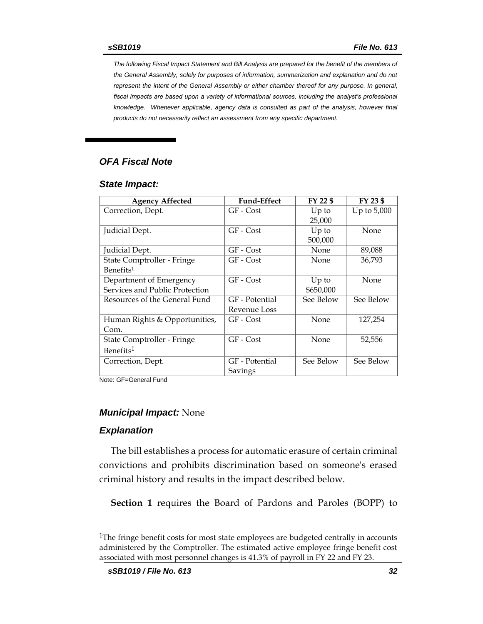*The following Fiscal Impact Statement and Bill Analysis are prepared for the benefit of the members of the General Assembly, solely for purposes of information, summarization and explanation and do not represent the intent of the General Assembly or either chamber thereof for any purpose. In general,*  fiscal impacts are based upon a variety of informational sources, including the analyst's professional *knowledge. Whenever applicable, agency data is consulted as part of the analysis, however final products do not necessarily reflect an assessment from any specific department.*

# *OFA Fiscal Note*

#### *State Impact:*

| <b>Agency Affected</b>         | <b>Fund-Effect</b> | FY 22 \$  | FY 23 \$      |
|--------------------------------|--------------------|-----------|---------------|
| Correction, Dept.              | GF - Cost          | $Up$ to   | Up to $5,000$ |
|                                |                    | 25,000    |               |
| Judicial Dept.                 | GF - Cost          | $Up$ to   | <b>None</b>   |
|                                |                    | 500,000   |               |
| Judicial Dept.                 | GF - Cost          | None      | 89,088        |
| State Comptroller - Fringe     | GF - Cost          | None      | 36,793        |
| Benefits <sup>1</sup>          |                    |           |               |
| Department of Emergency        | GF - Cost          | $Up$ to   | None          |
| Services and Public Protection |                    | \$650,000 |               |
| Resources of the General Fund  | GF - Potential     | See Below | See Below     |
|                                | Revenue Loss       |           |               |
| Human Rights & Opportunities,  | GF - Cost          | None      | 127,254       |
| Com.                           |                    |           |               |
| State Comptroller - Fringe     | GF - Cost          | None      | 52,556        |
| Benefits <sup>1</sup>          |                    |           |               |
| Correction, Dept.              | GF - Potential     | See Below | See Below     |
|                                | Savings            |           |               |

Note: GF=General Fund

#### *Municipal Impact:* None

#### *Explanation*

 $\overline{a}$ 

The bill establishes a process for automatic erasure of certain criminal convictions and prohibits discrimination based on someone's erased criminal history and results in the impact described below.

**Section 1** requires the Board of Pardons and Paroles (BOPP) to

<sup>&</sup>lt;sup>1</sup>The fringe benefit costs for most state employees are budgeted centrally in accounts administered by the Comptroller. The estimated active employee fringe benefit cost associated with most personnel changes is 41.3% of payroll in FY 22 and FY 23.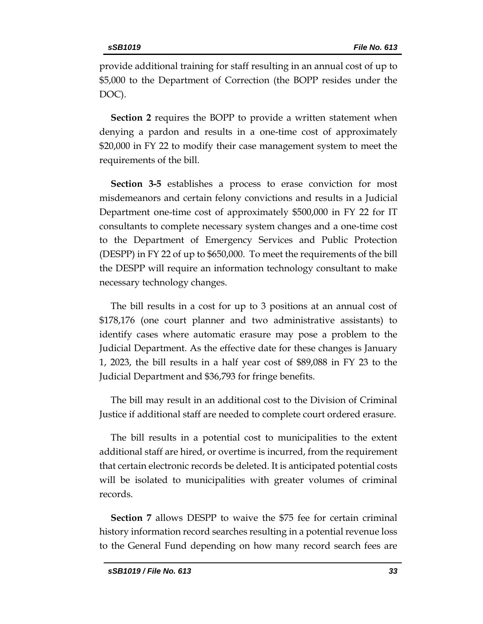provide additional training for staff resulting in an annual cost of up to \$5,000 to the Department of Correction (the BOPP resides under the DOC).

**Section 2** requires the BOPP to provide a written statement when denying a pardon and results in a one-time cost of approximately \$20,000 in FY 22 to modify their case management system to meet the requirements of the bill.

**Section 3-5** establishes a process to erase conviction for most misdemeanors and certain felony convictions and results in a Judicial Department one-time cost of approximately \$500,000 in FY 22 for IT consultants to complete necessary system changes and a one-time cost to the Department of Emergency Services and Public Protection (DESPP) in FY 22 of up to \$650,000. To meet the requirements of the bill the DESPP will require an information technology consultant to make necessary technology changes.

The bill results in a cost for up to 3 positions at an annual cost of \$178,176 (one court planner and two administrative assistants) to identify cases where automatic erasure may pose a problem to the Judicial Department. As the effective date for these changes is January 1, 2023, the bill results in a half year cost of \$89,088 in FY 23 to the Judicial Department and \$36,793 for fringe benefits.

The bill may result in an additional cost to the Division of Criminal Justice if additional staff are needed to complete court ordered erasure.

The bill results in a potential cost to municipalities to the extent additional staff are hired, or overtime is incurred, from the requirement that certain electronic records be deleted. It is anticipated potential costs will be isolated to municipalities with greater volumes of criminal records.

**Section 7** allows DESPP to waive the \$75 fee for certain criminal history information record searches resulting in a potential revenue loss to the General Fund depending on how many record search fees are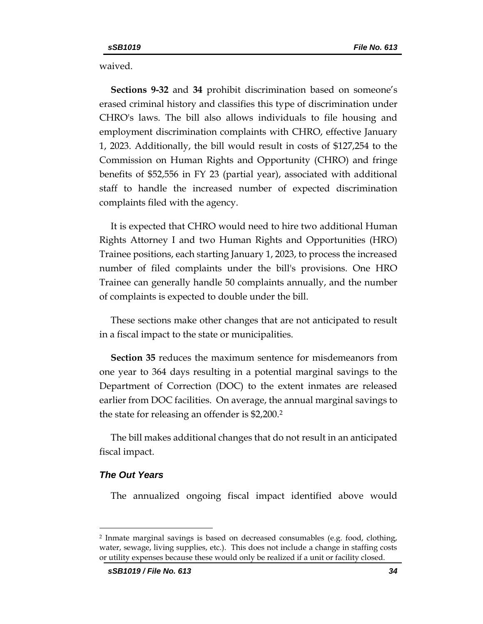waived.

**Sections 9-32** and **34** prohibit discrimination based on someone's erased criminal history and classifies this type of discrimination under CHRO's laws. The bill also allows individuals to file housing and employment discrimination complaints with CHRO, effective January 1, 2023. Additionally, the bill would result in costs of \$127,254 to the Commission on Human Rights and Opportunity (CHRO) and fringe benefits of \$52,556 in FY 23 (partial year), associated with additional staff to handle the increased number of expected discrimination complaints filed with the agency.

It is expected that CHRO would need to hire two additional Human Rights Attorney I and two Human Rights and Opportunities (HRO) Trainee positions, each starting January 1, 2023, to process the increased number of filed complaints under the bill's provisions. One HRO Trainee can generally handle 50 complaints annually, and the number of complaints is expected to double under the bill.

These sections make other changes that are not anticipated to result in a fiscal impact to the state or municipalities.

**Section 35** reduces the maximum sentence for misdemeanors from one year to 364 days resulting in a potential marginal savings to the Department of Correction (DOC) to the extent inmates are released earlier from DOC facilities. On average, the annual marginal savings to the state for releasing an offender is \$2,200. 2

The bill makes additional changes that do not result in an anticipated fiscal impact.

#### *The Out Years*

 $\overline{a}$ 

The annualized ongoing fiscal impact identified above would

<sup>2</sup> Inmate marginal savings is based on decreased consumables (e.g. food, clothing, water, sewage, living supplies, etc.). This does not include a change in staffing costs or utility expenses because these would only be realized if a unit or facility closed.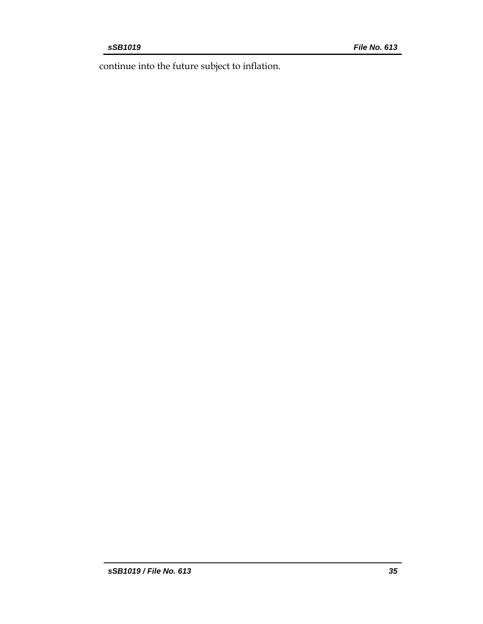continue into the future subject to inflation.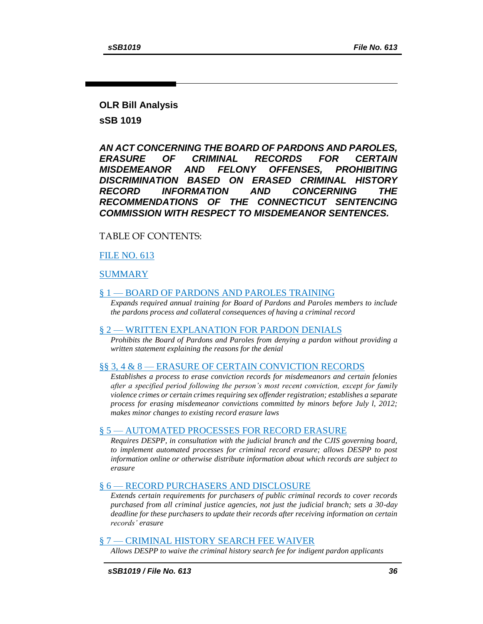# **OLR Bill Analysis**

**sSB 1019** 

*AN ACT CONCERNING THE BOARD OF PARDONS AND PAROLES, ERASURE OF CRIMINAL RECORDS FOR CERTAIN MISDEMEANOR AND FELONY OFFENSES, PROHIBITING DISCRIMINATION BASED ON ERASED CRIMINAL HISTORY RECORD INFORMATION AND CONCERNING THE RECOMMENDATIONS OF THE CONNECTICUT SENTENCING COMMISSION WITH RESPECT TO MISDEMEANOR SENTENCES.* 

# TABLE OF CONTENTS:

# [FILE NO. 613](#page-0-0)

[SUMMARY](#page-36-0)

#### § 1 — [BOARD OF PARDONS AND PAROLES TRAINING](#page-37-0)

*[Expands required annual training for Board of Pardons and Paroles members to include](#page-37-1)  [the pardons process and collateral consequences of having a criminal record](#page-37-1)*

#### § 2 — [WRITTEN EXPLANATION FOR PARDON DENIALS](#page-37-2)

*[Prohibits the Board of Pardons and Paroles from](#page-37-3) denying a pardon without providing a [written statement explaining the reasons for the denial](#page-37-3)*

#### §§ 3, 4 & 8 — [ERASURE OF CERTAIN CONVICTION RECORDS](#page-38-0)

*[Establishes a process to erase conviction records for misdemeanors and certain felonies](#page-38-1)  [after a specified period following the person's most recent conviction, except for family](#page-38-1)  [violence crimes or certain crimes requiring sex offender registration; establishes a separate](#page-38-1)  [process for erasing misdemeanor convictions committed by minors before July l, 2012;](#page-38-1)  [makes minor changes to existing record erasure laws](#page-38-1)*

#### § 5 — [AUTOMATED PROCESSES FOR RECORD ERASURE](#page-42-0)

*[Requires DESPP, in consultation with the judicial branch and the CJIS governing board,](#page-42-1)  to implement automated processes for criminal record erasure; allows DESPP to post [information online or otherwise distribute information about which records are subject to](#page-42-1)  [erasure](#page-42-1)*

# § 6 — [RECORD PURCHASERS AND DISCLOSURE](#page-43-0)

*[Extends certain requirements for purchasers of public criminal records to cover records](#page-43-1)  [purchased from all criminal justice agencies, not just the judicial branch; sets a 30-day](#page-43-1)  [deadline for these purchasers to update their records after receiving information on certain](#page-43-1)  [records'](#page-43-1) erasure*

#### § 7 — [CRIMINAL HISTORY SEARCH FEE WAIVER](#page-43-2)

*Allows DESPP to [waive the criminal history search fee for indigent pardon applicants](#page-44-0)*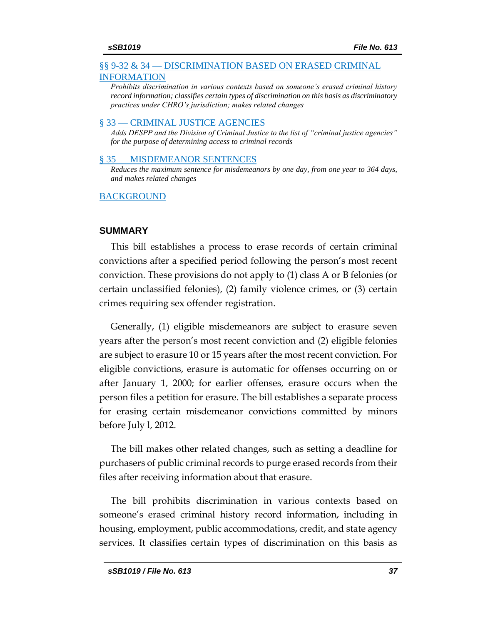#### §§ 9-32 & 34 — [DISCRIMINATION BASED ON ERASED CRIMINAL](#page-44-1)  [INFORMATION](#page-44-1)

*[Prohibits discrimination in various contexts based on someone's erased criminal history](#page-44-2)  [record information; classifies certain types of discrimination on this basis as discriminatory](#page-44-2)  [practices under CHRO's jurisdiction; makes related changes](#page-44-2)*

#### § 33 — [CRIMINAL JUSTICE AGENCIES](#page-51-0)

*[Adds DESPP and the Division of Criminal Justice to the list of "criminal justice agencies"](#page-51-1)  [for the purpose of determining access to criminal records](#page-51-1)*

#### § 35 — [MISDEMEANOR SENTENCES](#page-52-0)

*[Reduces the maximum sentence for misdemeanors by one day, from one year to 364 days,](#page-52-1)  [and makes related changes](#page-52-1)*

#### [BACKGROUND](#page-53-0)

# <span id="page-36-0"></span>**SUMMARY**

This bill establishes a process to erase records of certain criminal convictions after a specified period following the person's most recent conviction. These provisions do not apply to (1) class A or B felonies (or certain unclassified felonies), (2) family violence crimes, or (3) certain crimes requiring sex offender registration.

Generally, (1) eligible misdemeanors are subject to erasure seven years after the person's most recent conviction and (2) eligible felonies are subject to erasure 10 or 15 years after the most recent conviction. For eligible convictions, erasure is automatic for offenses occurring on or after January 1, 2000; for earlier offenses, erasure occurs when the person files a petition for erasure. The bill establishes a separate process for erasing certain misdemeanor convictions committed by minors before July l, 2012.

The bill makes other related changes, such as setting a deadline for purchasers of public criminal records to purge erased records from their files after receiving information about that erasure.

The bill prohibits discrimination in various contexts based on someone's erased criminal history record information, including in housing, employment, public accommodations, credit, and state agency services. It classifies certain types of discrimination on this basis as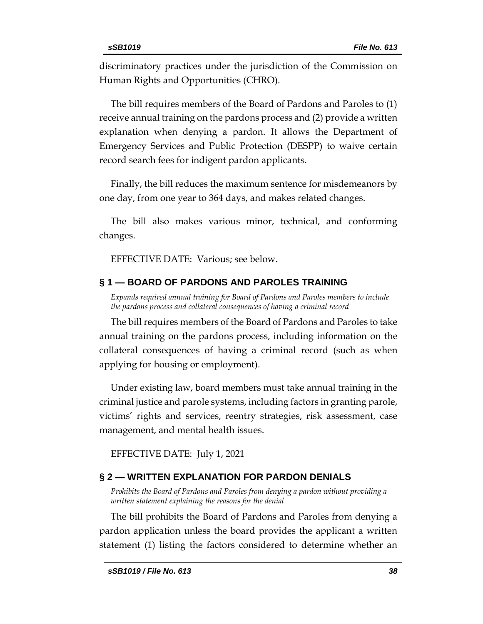discriminatory practices under the jurisdiction of the Commission on Human Rights and Opportunities (CHRO).

The bill requires members of the Board of Pardons and Paroles to (1) receive annual training on the pardons process and (2) provide a written explanation when denying a pardon. It allows the Department of Emergency Services and Public Protection (DESPP) to waive certain record search fees for indigent pardon applicants.

Finally, the bill reduces the maximum sentence for misdemeanors by one day, from one year to 364 days, and makes related changes.

The bill also makes various minor, technical, and conforming changes.

EFFECTIVE DATE: Various; see below.

# <span id="page-37-0"></span>**§ 1 — BOARD OF PARDONS AND PAROLES TRAINING**

<span id="page-37-1"></span>*Expands required annual training for Board of Pardons and Paroles members to include the pardons process and collateral consequences of having a criminal record* 

The bill requires members of the Board of Pardons and Paroles to take annual training on the pardons process, including information on the collateral consequences of having a criminal record (such as when applying for housing or employment).

Under existing law, board members must take annual training in the criminal justice and parole systems, including factors in granting parole, victims' rights and services, reentry strategies, risk assessment, case management, and mental health issues.

EFFECTIVE DATE: July 1, 2021

# <span id="page-37-2"></span>**§ 2 — WRITTEN EXPLANATION FOR PARDON DENIALS**

<span id="page-37-3"></span>*Prohibits the Board of Pardons and Paroles from denying a pardon without providing a written statement explaining the reasons for the denial*

The bill prohibits the Board of Pardons and Paroles from denying a pardon application unless the board provides the applicant a written statement (1) listing the factors considered to determine whether an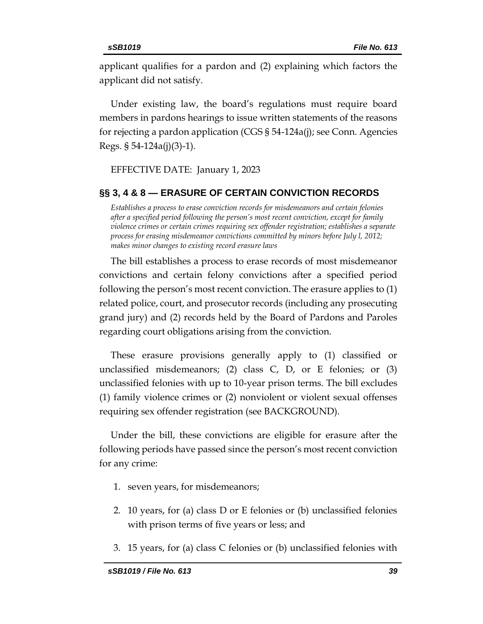applicant qualifies for a pardon and (2) explaining which factors the applicant did not satisfy.

Under existing law, the board's regulations must require board members in pardons hearings to issue written statements of the reasons for rejecting a pardon application (CGS § 54-124a(j); see Conn. Agencies Regs. § 54-124a(j)(3)-1).

EFFECTIVE DATE: January 1, 2023

# <span id="page-38-0"></span>**§§ 3, 4 & 8 — ERASURE OF CERTAIN CONVICTION RECORDS**

<span id="page-38-1"></span>*Establishes a process to erase conviction records for misdemeanors and certain felonies after a specified period following the person's most recent conviction, except for family violence crimes or certain crimes requiring sex offender registration; establishes a separate process for erasing misdemeanor convictions committed by minors before July l, 2012; makes minor changes to existing record erasure laws*

The bill establishes a process to erase records of most misdemeanor convictions and certain felony convictions after a specified period following the person's most recent conviction. The erasure applies to (1) related police, court, and prosecutor records (including any prosecuting grand jury) and (2) records held by the Board of Pardons and Paroles regarding court obligations arising from the conviction.

These erasure provisions generally apply to (1) classified or unclassified misdemeanors; (2) class  $C$ ,  $D$ , or  $E$  felonies; or (3) unclassified felonies with up to 10-year prison terms. The bill excludes (1) family violence crimes or (2) nonviolent or violent sexual offenses requiring sex offender registration (see BACKGROUND).

Under the bill, these convictions are eligible for erasure after the following periods have passed since the person's most recent conviction for any crime:

- 1. seven years, for misdemeanors;
- 2. 10 years, for (a) class D or E felonies or (b) unclassified felonies with prison terms of five years or less; and
- 3. 15 years, for (a) class C felonies or (b) unclassified felonies with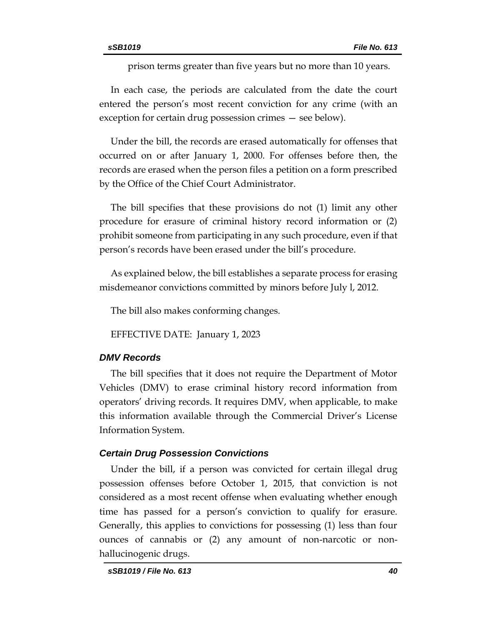prison terms greater than five years but no more than 10 years.

In each case, the periods are calculated from the date the court entered the person's most recent conviction for any crime (with an exception for certain drug possession crimes — see below).

Under the bill, the records are erased automatically for offenses that occurred on or after January 1, 2000. For offenses before then, the records are erased when the person files a petition on a form prescribed by the Office of the Chief Court Administrator.

The bill specifies that these provisions do not (1) limit any other procedure for erasure of criminal history record information or (2) prohibit someone from participating in any such procedure, even if that person's records have been erased under the bill's procedure.

As explained below, the bill establishes a separate process for erasing misdemeanor convictions committed by minors before July l, 2012.

The bill also makes conforming changes.

EFFECTIVE DATE: January 1, 2023

# *DMV Records*

The bill specifies that it does not require the Department of Motor Vehicles (DMV) to erase criminal history record information from operators' driving records. It requires DMV, when applicable, to make this information available through the Commercial Driver's License Information System.

# *Certain Drug Possession Convictions*

Under the bill, if a person was convicted for certain illegal drug possession offenses before October 1, 2015, that conviction is not considered as a most recent offense when evaluating whether enough time has passed for a person's conviction to qualify for erasure. Generally, this applies to convictions for possessing (1) less than four ounces of cannabis or (2) any amount of non-narcotic or nonhallucinogenic drugs.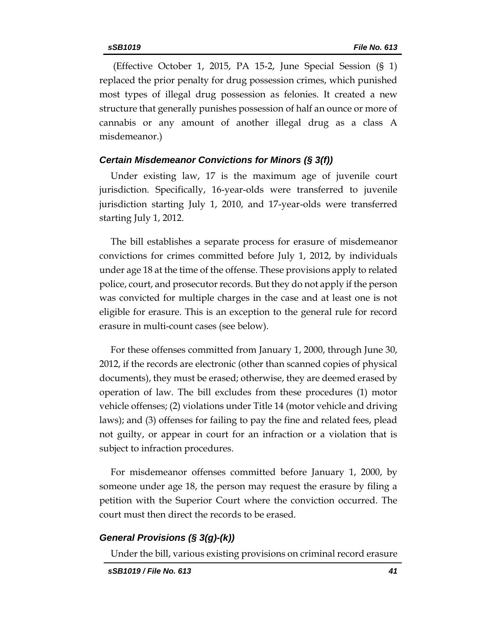(Effective October 1, 2015, PA 15-2, June Special Session (§ 1) replaced the prior penalty for drug possession crimes, which punished most types of illegal drug possession as felonies. It created a new structure that generally punishes possession of half an ounce or more of cannabis or any amount of another illegal drug as a class A misdemeanor.)

# *Certain Misdemeanor Convictions for Minors (§ 3(f))*

Under existing law, 17 is the maximum age of juvenile court jurisdiction. Specifically, 16-year-olds were transferred to juvenile jurisdiction starting July 1, 2010, and 17-year-olds were transferred starting July 1, 2012.

The bill establishes a separate process for erasure of misdemeanor convictions for crimes committed before July 1, 2012, by individuals under age 18 at the time of the offense. These provisions apply to related police, court, and prosecutor records. But they do not apply if the person was convicted for multiple charges in the case and at least one is not eligible for erasure. This is an exception to the general rule for record erasure in multi-count cases (see below).

For these offenses committed from January 1, 2000, through June 30, 2012, if the records are electronic (other than scanned copies of physical documents), they must be erased; otherwise, they are deemed erased by operation of law. The bill excludes from these procedures (1) motor vehicle offenses; (2) violations under Title 14 (motor vehicle and driving laws); and (3) offenses for failing to pay the fine and related fees, plead not guilty, or appear in court for an infraction or a violation that is subject to infraction procedures.

For misdemeanor offenses committed before January 1, 2000, by someone under age 18, the person may request the erasure by filing a petition with the Superior Court where the conviction occurred. The court must then direct the records to be erased.

#### *General Provisions (§ 3(g)-(k))*

Under the bill, various existing provisions on criminal record erasure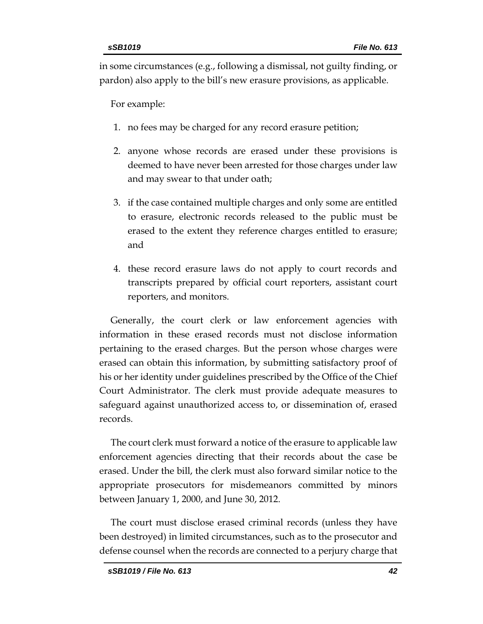in some circumstances (e.g., following a dismissal, not guilty finding, or pardon) also apply to the bill's new erasure provisions, as applicable.

For example:

- 1. no fees may be charged for any record erasure petition;
- 2. anyone whose records are erased under these provisions is deemed to have never been arrested for those charges under law and may swear to that under oath;
- 3. if the case contained multiple charges and only some are entitled to erasure, electronic records released to the public must be erased to the extent they reference charges entitled to erasure; and
- 4. these record erasure laws do not apply to court records and transcripts prepared by official court reporters, assistant court reporters, and monitors.

Generally, the court clerk or law enforcement agencies with information in these erased records must not disclose information pertaining to the erased charges. But the person whose charges were erased can obtain this information, by submitting satisfactory proof of his or her identity under guidelines prescribed by the Office of the Chief Court Administrator. The clerk must provide adequate measures to safeguard against unauthorized access to, or dissemination of, erased records.

The court clerk must forward a notice of the erasure to applicable law enforcement agencies directing that their records about the case be erased. Under the bill, the clerk must also forward similar notice to the appropriate prosecutors for misdemeanors committed by minors between January 1, 2000, and June 30, 2012.

The court must disclose erased criminal records (unless they have been destroyed) in limited circumstances, such as to the prosecutor and defense counsel when the records are connected to a perjury charge that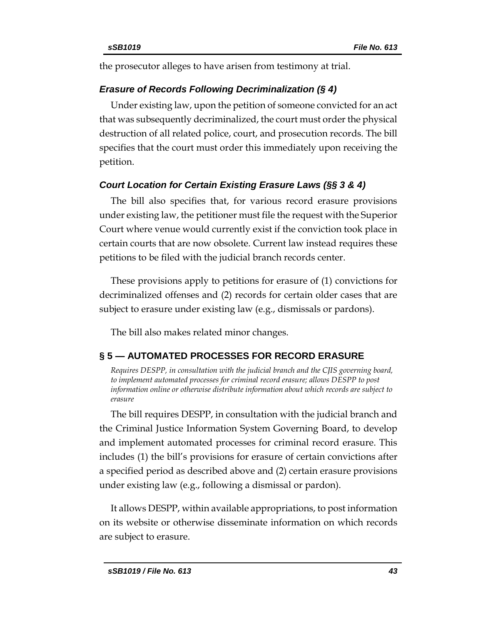the prosecutor alleges to have arisen from testimony at trial.

# *Erasure of Records Following Decriminalization (§ 4)*

Under existing law, upon the petition of someone convicted for an act that was subsequently decriminalized, the court must order the physical destruction of all related police, court, and prosecution records. The bill specifies that the court must order this immediately upon receiving the petition.

# *Court Location for Certain Existing Erasure Laws (§§ 3 & 4)*

The bill also specifies that, for various record erasure provisions under existing law, the petitioner must file the request with the Superior Court where venue would currently exist if the conviction took place in certain courts that are now obsolete. Current law instead requires these petitions to be filed with the judicial branch records center.

These provisions apply to petitions for erasure of (1) convictions for decriminalized offenses and (2) records for certain older cases that are subject to erasure under existing law (e.g., dismissals or pardons).

The bill also makes related minor changes.

# <span id="page-42-0"></span>**§ 5 — AUTOMATED PROCESSES FOR RECORD ERASURE**

<span id="page-42-1"></span>*Requires DESPP, in consultation with the judicial branch and the CJIS governing board, to implement automated processes for criminal record erasure; allows DESPP to post information online or otherwise distribute information about which records are subject to erasure*

The bill requires DESPP, in consultation with the judicial branch and the Criminal Justice Information System Governing Board, to develop and implement automated processes for criminal record erasure. This includes (1) the bill's provisions for erasure of certain convictions after a specified period as described above and (2) certain erasure provisions under existing law (e.g., following a dismissal or pardon).

It allows DESPP, within available appropriations, to post information on its website or otherwise disseminate information on which records are subject to erasure.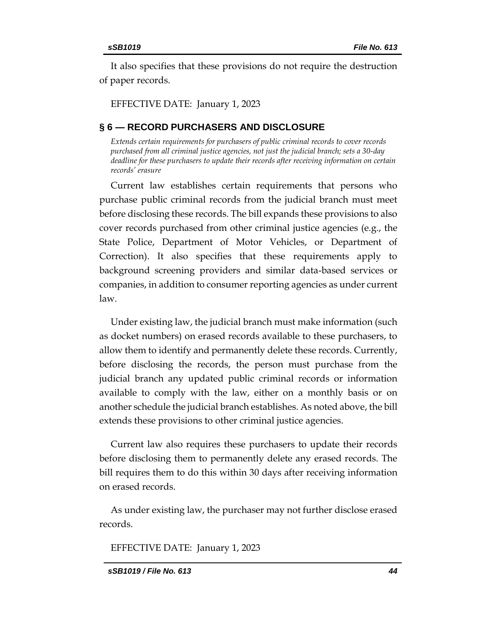<span id="page-43-2"></span>It also specifies that these provisions do not require the destruction of paper records.

EFFECTIVE DATE: January 1, 2023

# <span id="page-43-0"></span>**§ 6 — RECORD PURCHASERS AND DISCLOSURE**

<span id="page-43-1"></span>*Extends certain requirements for purchasers of public criminal records to cover records purchased from all criminal justice agencies, not just the judicial branch; sets a 30-day deadline for these purchasers to update their records after receiving information on certain records' erasure* 

Current law establishes certain requirements that persons who purchase public criminal records from the judicial branch must meet before disclosing these records. The bill expands these provisions to also cover records purchased from other criminal justice agencies (e.g., the State Police, Department of Motor Vehicles, or Department of Correction). It also specifies that these requirements apply to background screening providers and similar data-based services or companies, in addition to consumer reporting agencies as under current law.

Under existing law, the judicial branch must make information (such as docket numbers) on erased records available to these purchasers, to allow them to identify and permanently delete these records. Currently, before disclosing the records, the person must purchase from the judicial branch any updated public criminal records or information available to comply with the law, either on a monthly basis or on another schedule the judicial branch establishes. As noted above, the bill extends these provisions to other criminal justice agencies.

Current law also requires these purchasers to update their records before disclosing them to permanently delete any erased records. The bill requires them to do this within 30 days after receiving information on erased records.

As under existing law, the purchaser may not further disclose erased records.

EFFECTIVE DATE: January 1, 2023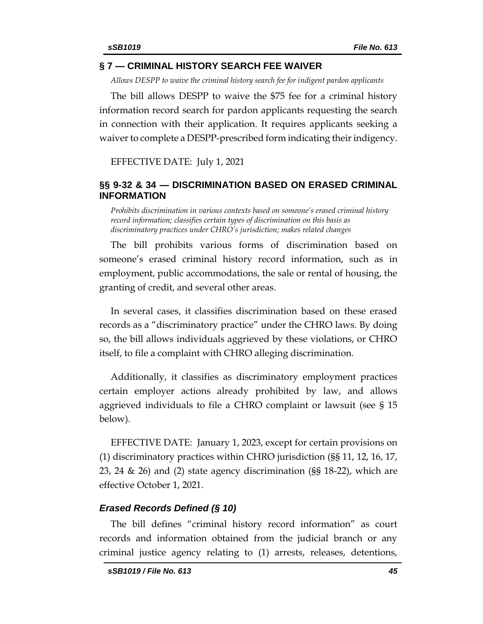# **§ 7 — CRIMINAL HISTORY SEARCH FEE WAIVER**

<span id="page-44-0"></span>*Allows DESPP to waive the criminal history search fee for indigent pardon applicants* 

The bill allows DESPP to waive the \$75 fee for a criminal history information record search for pardon applicants requesting the search in connection with their application. It requires applicants seeking a waiver to complete a DESPP-prescribed form indicating their indigency.

EFFECTIVE DATE: July 1, 2021

# <span id="page-44-1"></span>**§§ 9-32 & 34 — DISCRIMINATION BASED ON ERASED CRIMINAL INFORMATION**

<span id="page-44-2"></span>*Prohibits discrimination in various contexts based on someone's erased criminal history record information; classifies certain types of discrimination on this basis as discriminatory practices under CHRO's jurisdiction; makes related changes* 

The bill prohibits various forms of discrimination based on someone's erased criminal history record information, such as in employment, public accommodations, the sale or rental of housing, the granting of credit, and several other areas.

In several cases, it classifies discrimination based on these erased records as a "discriminatory practice" under the CHRO laws. By doing so, the bill allows individuals aggrieved by these violations, or CHRO itself, to file a complaint with CHRO alleging discrimination.

Additionally, it classifies as discriminatory employment practices certain employer actions already prohibited by law, and allows aggrieved individuals to file a CHRO complaint or lawsuit (see § 15 below).

EFFECTIVE DATE: January 1, 2023, except for certain provisions on (1) discriminatory practices within CHRO jurisdiction (§§ 11, 12, 16, 17, 23, 24 & 26) and (2) state agency discrimination (§§ 18-22), which are effective October 1, 2021.

# *Erased Records Defined (§ 10)*

The bill defines "criminal history record information" as court records and information obtained from the judicial branch or any criminal justice agency relating to (1) arrests, releases, detentions,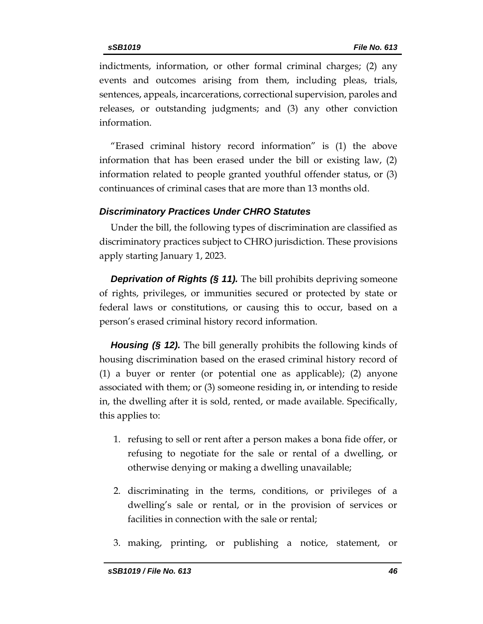indictments, information, or other formal criminal charges; (2) any events and outcomes arising from them, including pleas, trials, sentences, appeals, incarcerations, correctional supervision, paroles and releases, or outstanding judgments; and (3) any other conviction information.

"Erased criminal history record information" is (1) the above information that has been erased under the bill or existing law, (2) information related to people granted youthful offender status, or (3) continuances of criminal cases that are more than 13 months old.

# *Discriminatory Practices Under CHRO Statutes*

Under the bill, the following types of discrimination are classified as discriminatory practices subject to CHRO jurisdiction. These provisions apply starting January 1, 2023.

*Deprivation of Rights (§ 11).* The bill prohibits depriving someone of rights, privileges, or immunities secured or protected by state or federal laws or constitutions, or causing this to occur, based on a person's erased criminal history record information.

*Housing (§ 12).* The bill generally prohibits the following kinds of housing discrimination based on the erased criminal history record of (1) a buyer or renter (or potential one as applicable); (2) anyone associated with them; or (3) someone residing in, or intending to reside in, the dwelling after it is sold, rented, or made available. Specifically, this applies to:

- 1. refusing to sell or rent after a person makes a bona fide offer, or refusing to negotiate for the sale or rental of a dwelling, or otherwise denying or making a dwelling unavailable;
- 2. discriminating in the terms, conditions, or privileges of a dwelling's sale or rental, or in the provision of services or facilities in connection with the sale or rental;
- 3. making, printing, or publishing a notice, statement, or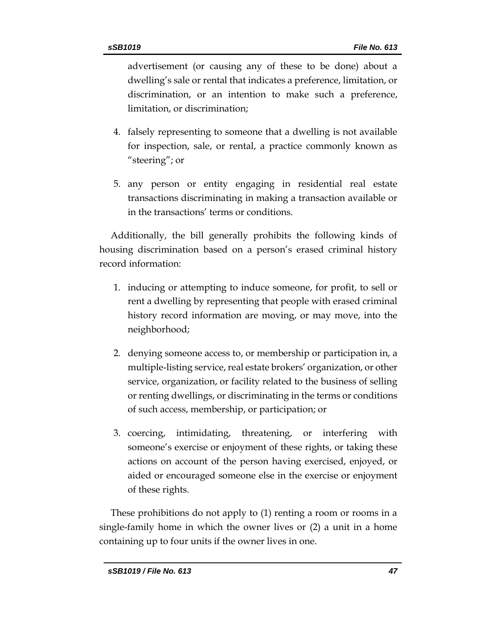advertisement (or causing any of these to be done) about a dwelling's sale or rental that indicates a preference, limitation, or discrimination, or an intention to make such a preference, limitation, or discrimination;

- 4. falsely representing to someone that a dwelling is not available for inspection, sale, or rental, a practice commonly known as "steering"; or
- 5. any person or entity engaging in residential real estate transactions discriminating in making a transaction available or in the transactions' terms or conditions.

Additionally, the bill generally prohibits the following kinds of housing discrimination based on a person's erased criminal history record information:

- 1. inducing or attempting to induce someone, for profit, to sell or rent a dwelling by representing that people with erased criminal history record information are moving, or may move, into the neighborhood;
- 2. denying someone access to, or membership or participation in, a multiple-listing service, real estate brokers' organization, or other service, organization, or facility related to the business of selling or renting dwellings, or discriminating in the terms or conditions of such access, membership, or participation; or
- 3. coercing, intimidating, threatening, or interfering with someone's exercise or enjoyment of these rights, or taking these actions on account of the person having exercised, enjoyed, or aided or encouraged someone else in the exercise or enjoyment of these rights.

These prohibitions do not apply to (1) renting a room or rooms in a single-family home in which the owner lives or (2) a unit in a home containing up to four units if the owner lives in one.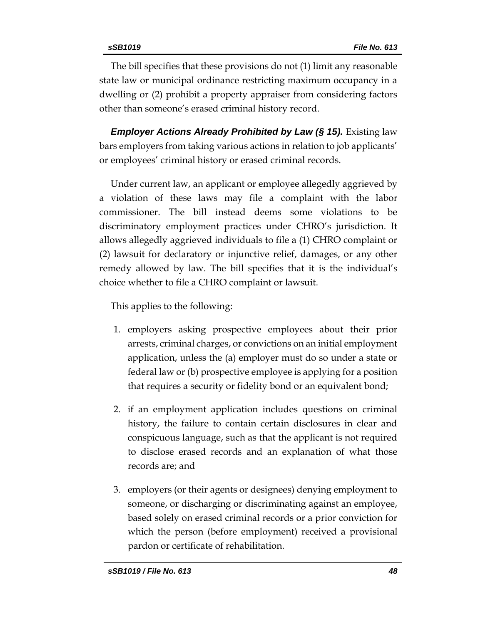The bill specifies that these provisions do not (1) limit any reasonable state law or municipal ordinance restricting maximum occupancy in a dwelling or (2) prohibit a property appraiser from considering factors other than someone's erased criminal history record.

*Employer Actions Already Prohibited by Law (§ 15). Existing law* bars employers from taking various actions in relation to job applicants' or employees' criminal history or erased criminal records.

Under current law, an applicant or employee allegedly aggrieved by a violation of these laws may file a complaint with the labor commissioner. The bill instead deems some violations to be discriminatory employment practices under CHRO's jurisdiction. It allows allegedly aggrieved individuals to file a (1) CHRO complaint or (2) lawsuit for declaratory or injunctive relief, damages, or any other remedy allowed by law. The bill specifies that it is the individual's choice whether to file a CHRO complaint or lawsuit.

This applies to the following:

- 1. employers asking prospective employees about their prior arrests, criminal charges, or convictions on an initial employment application, unless the (a) employer must do so under a state or federal law or (b) prospective employee is applying for a position that requires a security or fidelity bond or an equivalent bond;
- 2. if an employment application includes questions on criminal history, the failure to contain certain disclosures in clear and conspicuous language, such as that the applicant is not required to disclose erased records and an explanation of what those records are; and
- 3. employers (or their agents or designees) denying employment to someone, or discharging or discriminating against an employee, based solely on erased criminal records or a prior conviction for which the person (before employment) received a provisional pardon or certificate of rehabilitation.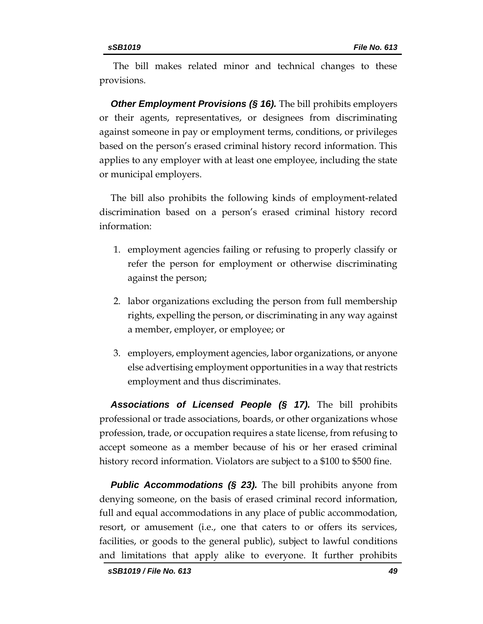The bill makes related minor and technical changes to these provisions.

**Other Employment Provisions (§ 16).** The bill prohibits employers or their agents, representatives, or designees from discriminating against someone in pay or employment terms, conditions, or privileges based on the person's erased criminal history record information. This applies to any employer with at least one employee, including the state or municipal employers.

The bill also prohibits the following kinds of employment-related discrimination based on a person's erased criminal history record information:

- 1. employment agencies failing or refusing to properly classify or refer the person for employment or otherwise discriminating against the person;
- 2. labor organizations excluding the person from full membership rights, expelling the person, or discriminating in any way against a member, employer, or employee; or
- 3. employers, employment agencies, labor organizations, or anyone else advertising employment opportunities in a way that restricts employment and thus discriminates.

*Associations of Licensed People (§ 17).* The bill prohibits professional or trade associations, boards, or other organizations whose profession, trade, or occupation requires a state license, from refusing to accept someone as a member because of his or her erased criminal history record information. Violators are subject to a \$100 to \$500 fine.

**Public Accommodations (§ 23).** The bill prohibits anyone from denying someone, on the basis of erased criminal record information, full and equal accommodations in any place of public accommodation, resort, or amusement (i.e., one that caters to or offers its services, facilities, or goods to the general public), subject to lawful conditions and limitations that apply alike to everyone. It further prohibits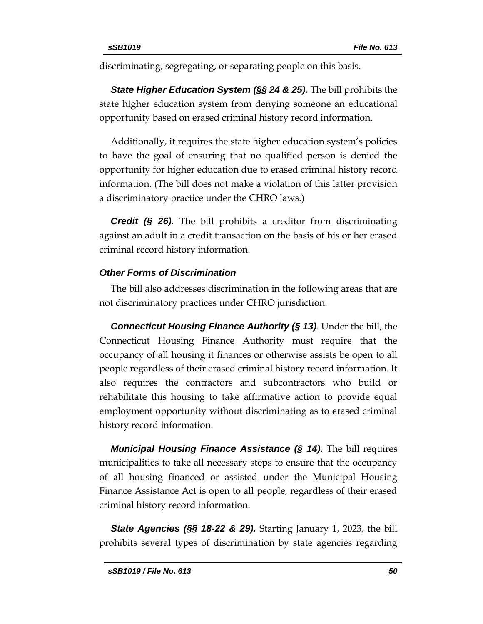discriminating, segregating, or separating people on this basis.

*State Higher Education System (§§ 24 & 25).* The bill prohibits the state higher education system from denying someone an educational opportunity based on erased criminal history record information.

Additionally, it requires the state higher education system's policies to have the goal of ensuring that no qualified person is denied the opportunity for higher education due to erased criminal history record information. (The bill does not make a violation of this latter provision a discriminatory practice under the CHRO laws.)

*Credit (§ 26).* The bill prohibits a creditor from discriminating against an adult in a credit transaction on the basis of his or her erased criminal record history information.

# *Other Forms of Discrimination*

The bill also addresses discrimination in the following areas that are not discriminatory practices under CHRO jurisdiction.

*Connecticut Housing Finance Authority (§ 13)*. Under the bill, the Connecticut Housing Finance Authority must require that the occupancy of all housing it finances or otherwise assists be open to all people regardless of their erased criminal history record information. It also requires the contractors and subcontractors who build or rehabilitate this housing to take affirmative action to provide equal employment opportunity without discriminating as to erased criminal history record information.

*Municipal Housing Finance Assistance (§ 14).* The bill requires municipalities to take all necessary steps to ensure that the occupancy of all housing financed or assisted under the Municipal Housing Finance Assistance Act is open to all people, regardless of their erased criminal history record information.

**State Agencies (§§ 18-22 & 29).** Starting January 1, 2023, the bill prohibits several types of discrimination by state agencies regarding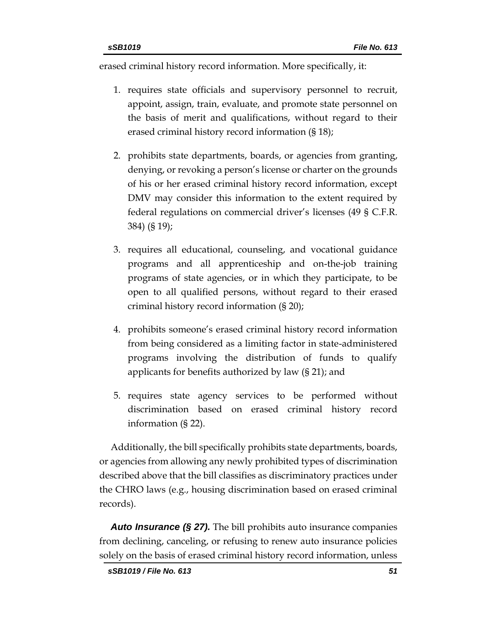erased criminal history record information. More specifically, it:

- 1. requires state officials and supervisory personnel to recruit, appoint, assign, train, evaluate, and promote state personnel on the basis of merit and qualifications, without regard to their erased criminal history record information (§ 18);
- 2. prohibits state departments, boards, or agencies from granting, denying, or revoking a person's license or charter on the grounds of his or her erased criminal history record information, except DMV may consider this information to the extent required by federal regulations on commercial driver's licenses (49 § C.F.R. 384) (§ 19);
- 3. requires all educational, counseling, and vocational guidance programs and all apprenticeship and on-the-job training programs of state agencies, or in which they participate, to be open to all qualified persons, without regard to their erased criminal history record information (§ 20);
- 4. prohibits someone's erased criminal history record information from being considered as a limiting factor in state-administered programs involving the distribution of funds to qualify applicants for benefits authorized by law (§ 21); and
- 5. requires state agency services to be performed without discrimination based on erased criminal history record information (§ 22).

Additionally, the bill specifically prohibits state departments, boards, or agencies from allowing any newly prohibited types of discrimination described above that the bill classifies as discriminatory practices under the CHRO laws (e.g., housing discrimination based on erased criminal records).

*Auto Insurance (§ 27).* The bill prohibits auto insurance companies from declining, canceling, or refusing to renew auto insurance policies solely on the basis of erased criminal history record information, unless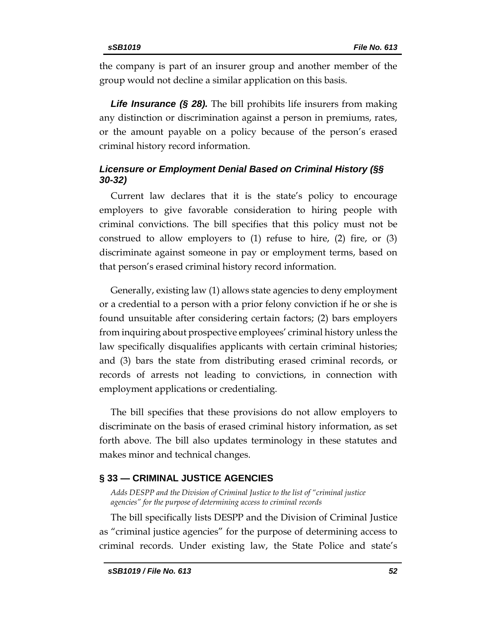the company is part of an insurer group and another member of the group would not decline a similar application on this basis.

**Life Insurance (§ 28).** The bill prohibits life insurers from making any distinction or discrimination against a person in premiums, rates, or the amount payable on a policy because of the person's erased criminal history record information.

# *Licensure or Employment Denial Based on Criminal History (§§ 30-32)*

Current law declares that it is the state's policy to encourage employers to give favorable consideration to hiring people with criminal convictions. The bill specifies that this policy must not be construed to allow employers to  $(1)$  refuse to hire,  $(2)$  fire, or  $(3)$ discriminate against someone in pay or employment terms, based on that person's erased criminal history record information.

Generally, existing law (1) allows state agencies to deny employment or a credential to a person with a prior felony conviction if he or she is found unsuitable after considering certain factors; (2) bars employers from inquiring about prospective employees' criminal history unless the law specifically disqualifies applicants with certain criminal histories; and (3) bars the state from distributing erased criminal records, or records of arrests not leading to convictions, in connection with employment applications or credentialing.

The bill specifies that these provisions do not allow employers to discriminate on the basis of erased criminal history information, as set forth above. The bill also updates terminology in these statutes and makes minor and technical changes.

# <span id="page-51-0"></span>**§ 33 — CRIMINAL JUSTICE AGENCIES**

<span id="page-51-1"></span>*Adds DESPP and the Division of Criminal Justice to the list of "criminal justice agencies" for the purpose of determining access to criminal records*

The bill specifically lists DESPP and the Division of Criminal Justice as "criminal justice agencies" for the purpose of determining access to criminal records. Under existing law, the State Police and state's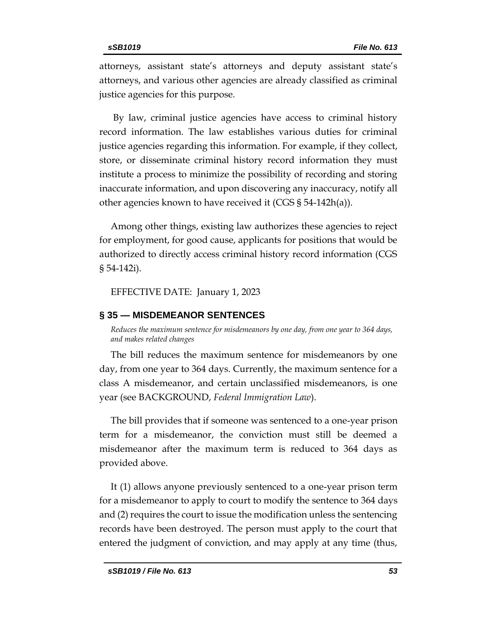attorneys, assistant state's attorneys and deputy assistant state's attorneys, and various other agencies are already classified as criminal justice agencies for this purpose.

By law, criminal justice agencies have access to criminal history record information. The law establishes various duties for criminal justice agencies regarding this information. For example, if they collect, store, or disseminate criminal history record information they must institute a process to minimize the possibility of recording and storing inaccurate information, and upon discovering any inaccuracy, notify all other agencies known to have received it (CGS § 54-142h(a)).

Among other things, existing law authorizes these agencies to reject for employment, for good cause, applicants for positions that would be authorized to directly access criminal history record information (CGS § 54-142i).

EFFECTIVE DATE: January 1, 2023

#### <span id="page-52-0"></span>**§ 35 — MISDEMEANOR SENTENCES**

<span id="page-52-1"></span>*Reduces the maximum sentence for misdemeanors by one day, from one year to 364 days, and makes related changes*

The bill reduces the maximum sentence for misdemeanors by one day, from one year to 364 days. Currently, the maximum sentence for a class A misdemeanor, and certain unclassified misdemeanors, is one year (see BACKGROUND, *Federal Immigration Law*).

The bill provides that if someone was sentenced to a one-year prison term for a misdemeanor, the conviction must still be deemed a misdemeanor after the maximum term is reduced to 364 days as provided above.

It (1) allows anyone previously sentenced to a one-year prison term for a misdemeanor to apply to court to modify the sentence to 364 days and (2) requires the court to issue the modification unless the sentencing records have been destroyed. The person must apply to the court that entered the judgment of conviction, and may apply at any time (thus,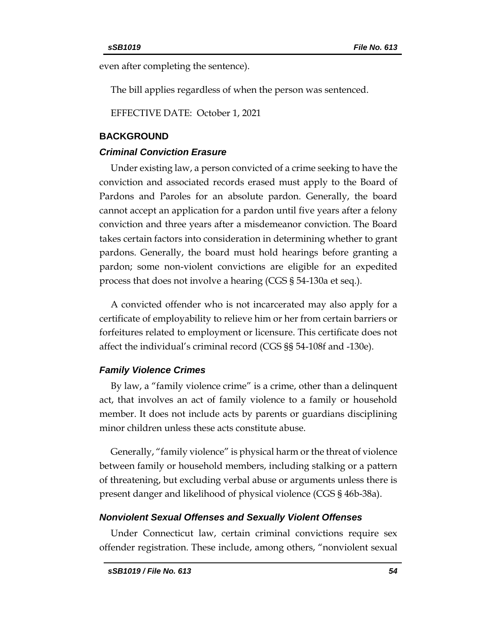even after completing the sentence).

The bill applies regardless of when the person was sentenced.

EFFECTIVE DATE: October 1, 2021

#### <span id="page-53-0"></span>**BACKGROUND**

#### *Criminal Conviction Erasure*

Under existing law, a person convicted of a crime seeking to have the conviction and associated records erased must apply to the Board of Pardons and Paroles for an absolute pardon. Generally, the board cannot accept an application for a pardon until five years after a felony conviction and three years after a misdemeanor conviction. The Board takes certain factors into consideration in determining whether to grant pardons. Generally, the board must hold hearings before granting a pardon; some non-violent convictions are eligible for an expedited process that does not involve a hearing (CGS § 54-130a et seq.).

A convicted offender who is not incarcerated may also apply for a certificate of employability to relieve him or her from certain barriers or forfeitures related to employment or licensure. This certificate does not affect the individual's criminal record (CGS §§ 54-108f and -130e).

# *Family Violence Crimes*

By law, a "family violence crime" is a crime, other than a delinquent act, that involves an act of family violence to a family or household member. It does not include acts by parents or guardians disciplining minor children unless these acts constitute abuse.

Generally, "family violence" is physical harm or the threat of violence between family or household members, including stalking or a pattern of threatening, but excluding verbal abuse or arguments unless there is present danger and likelihood of physical violence (CGS § 46b-38a).

#### *Nonviolent Sexual Offenses and Sexually Violent Offenses*

Under Connecticut law, certain criminal convictions require sex offender registration. These include, among others, "nonviolent sexual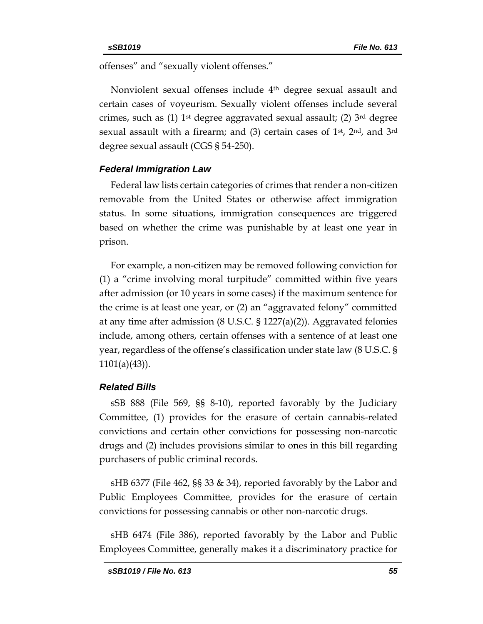offenses" and "sexually violent offenses."

Nonviolent sexual offenses include 4<sup>th</sup> degree sexual assault and certain cases of voyeurism. Sexually violent offenses include several crimes, such as (1)  $1<sup>st</sup>$  degree aggravated sexual assault; (2)  $3<sup>rd</sup>$  degree sexual assault with a firearm; and  $(3)$  certain cases of 1<sup>st</sup>, 2<sup>nd</sup>, and 3<sup>rd</sup> degree sexual assault (CGS § 54-250).

#### *Federal Immigration Law*

Federal law lists certain categories of crimes that render a non-citizen removable from the United States or otherwise affect immigration status. In some situations, immigration consequences are triggered based on whether the crime was punishable by at least one year in prison.

For example, a non-citizen may be removed following conviction for (1) a "crime involving moral turpitude" committed within five years after admission (or 10 years in some cases) if the maximum sentence for the crime is at least one year, or (2) an "aggravated felony" committed at any time after admission (8 U.S.C. § 1227(a)(2)). Aggravated felonies include, among others, certain offenses with a sentence of at least one year, regardless of the offense's classification under state law (8 U.S.C. § 1101(a)(43)).

#### *Related Bills*

sSB 888 (File 569, §§ 8-10), reported favorably by the Judiciary Committee, (1) provides for the erasure of certain cannabis-related convictions and certain other convictions for possessing non-narcotic drugs and (2) includes provisions similar to ones in this bill regarding purchasers of public criminal records.

sHB 6377 (File 462, §§ 33 & 34), reported favorably by the Labor and Public Employees Committee, provides for the erasure of certain convictions for possessing cannabis or other non-narcotic drugs.

sHB 6474 (File 386), reported favorably by the Labor and Public Employees Committee, generally makes it a discriminatory practice for